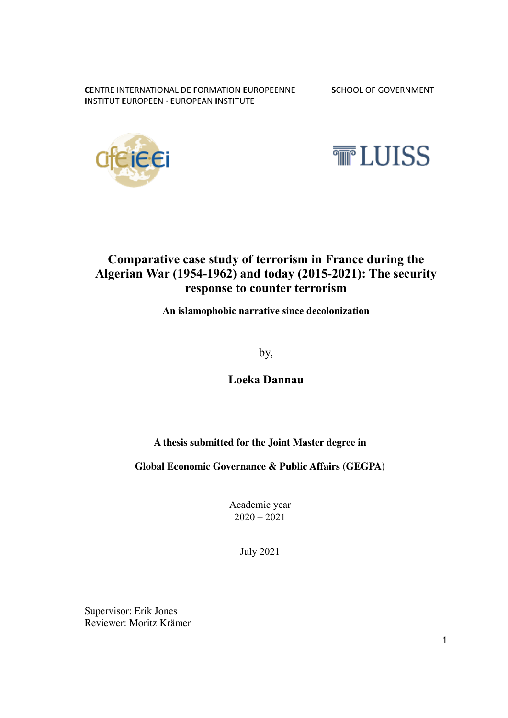**CENTRE INTERNATIONAL DE FORMATION EUROPEENNE SCHOOL OF GOVERNMENT INSTITUT EUROPEEN · EUROPEAN INSTITUTE** 





## **Comparative case study of terrorism in France during the Algerian War (1954-1962) and today (2015-2021): The security response to counter terrorism**

**An islamophobic narrative since decolonization** 

by,

**Loeka Dannau** 

#### **A thesis submitted for the Joint Master degree in**

#### **Global Economic Governance & Public Affairs (GEGPA)**

Academic year  $2020 - 2021$ 

July 2021

Supervisor: Erik Jones Reviewer: Moritz Krämer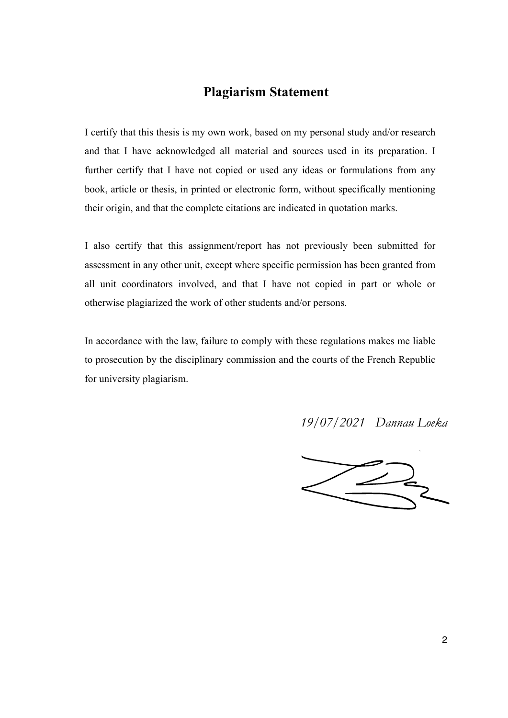### **Plagiarism Statement**

I certify that this thesis is my own work, based on my personal study and/or research and that I have acknowledged all material and sources used in its preparation. I further certify that I have not copied or used any ideas or formulations from any book, article or thesis, in printed or electronic form, without specifically mentioning their origin, and that the complete citations are indicated in quotation marks.

I also certify that this assignment/report has not previously been submitted for assessment in any other unit, except where specific permission has been granted from all unit coordinators involved, and that I have not copied in part or whole or otherwise plagiarized the work of other students and/or persons.

In accordance with the law, failure to comply with these regulations makes me liable to prosecution by the disciplinary commission and the courts of the French Republic for university plagiarism.

*19/07/2021 Dannau Loeka*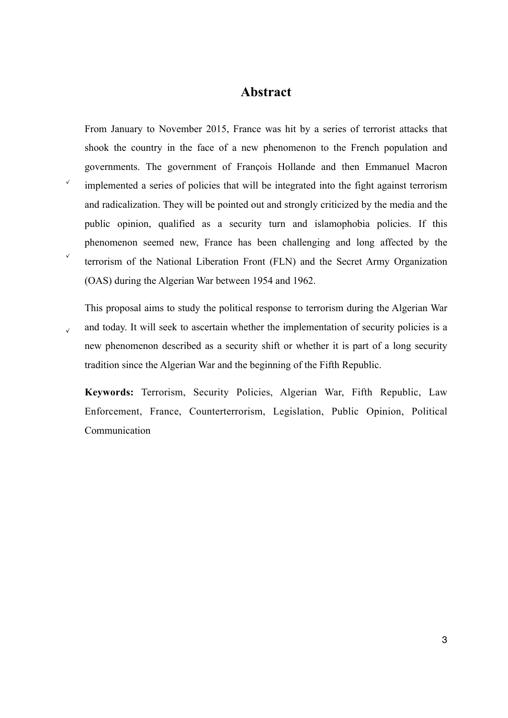#### **Abstract**

From January to November 2015, France was hit by a series of terrorist attacks that shook the country in the face of a new phenomenon to the French population and governments. The government of François Hollande and then Emmanuel Macron implemented a series of policies that will be integrated into the fight against terrorism and radicalization. They will be pointed out and strongly criticized by the media and the public opinion, qualified as a security turn and islamophobia policies. If this phenomenon seemed new, France has been challenging and long affected by the terrorism of the National Liberation Front (FLN) and the Secret Army Organization (OAS) during the Algerian War between 1954 and 1962.

This proposal aims to study the political response to terrorism during the Algerian War and today. It will seek to ascertain whether the implementation of security policies is a new phenomenon described as a security shift or whether it is part of a long security tradition since the Algerian War and the beginning of the Fifth Republic.

**Keywords:** Terrorism, Security Policies, Algerian War, Fifth Republic, Law Enforcement, France, Counterterrorism, Legislation, Public Opinion, Political Communication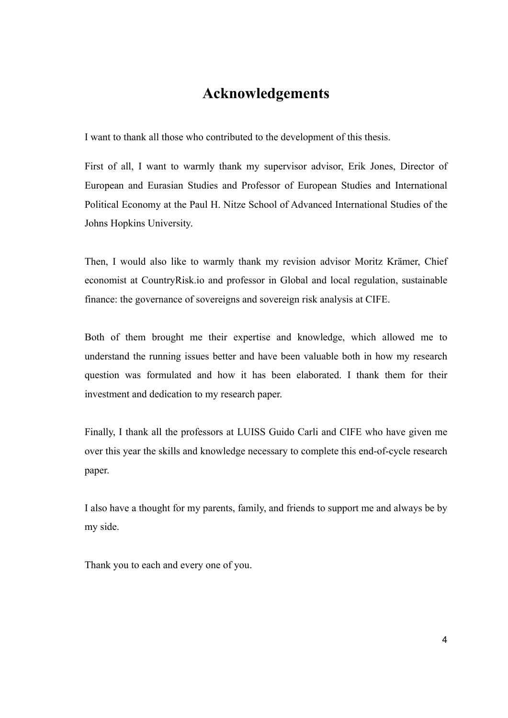## **Acknowledgements**

I want to thank all those who contributed to the development of this thesis.

First of all, I want to warmly thank my supervisor advisor, Erik Jones, Director of European and Eurasian Studies and Professor of European Studies and International Political Economy at the Paul H. Nitze School of Advanced International Studies of the Johns Hopkins University.

Then, I would also like to warmly thank my revision advisor Moritz Krämer, Chief economist at CountryRisk.io and professor in Global and local regulation, sustainable finance: the governance of sovereigns and sovereign risk analysis at CIFE.

Both of them brought me their expertise and knowledge, which allowed me to understand the running issues better and have been valuable both in how my research question was formulated and how it has been elaborated. I thank them for their investment and dedication to my research paper.

Finally, I thank all the professors at LUISS Guido Carli and CIFE who have given me over this year the skills and knowledge necessary to complete this end-of-cycle research paper.

I also have a thought for my parents, family, and friends to support me and always be by my side.

Thank you to each and every one of you.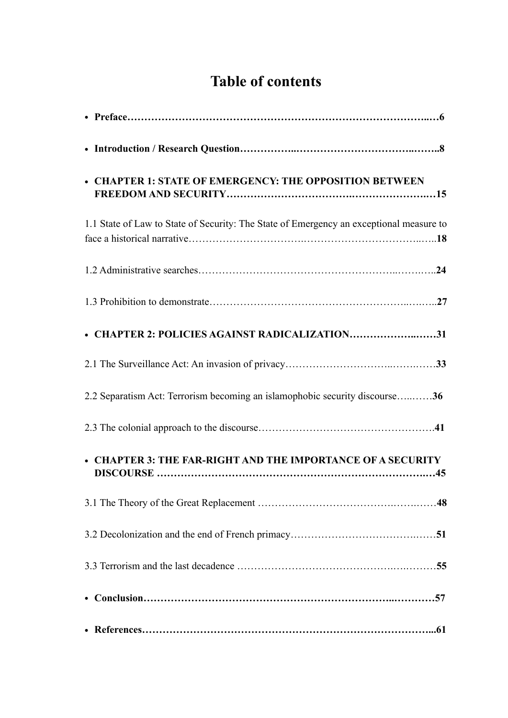# **Table of contents**

| • CHAPTER 1: STATE OF EMERGENCY: THE OPPOSITION BETWEEN                                 |
|-----------------------------------------------------------------------------------------|
| 1.1 State of Law to State of Security: The State of Emergency an exceptional measure to |
|                                                                                         |
|                                                                                         |
| • CHAPTER 2: POLICIES AGAINST RADICALIZATION31                                          |
|                                                                                         |
| 2.2 Separatism Act: Terrorism becoming an islamophobic security discourse36             |
|                                                                                         |
| • CHAPTER 3: THE FAR-RIGHT AND THE IMPORTANCE OF A SECURITY                             |
|                                                                                         |
|                                                                                         |
|                                                                                         |
|                                                                                         |
|                                                                                         |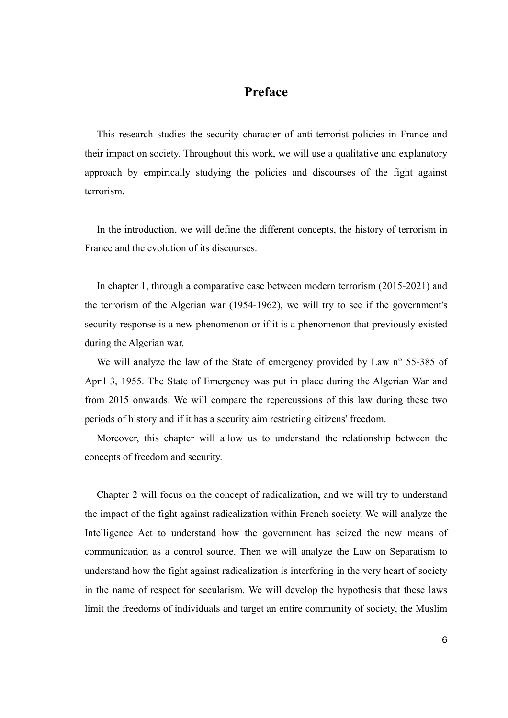## **Preface**

This research studies the security character of anti-terrorist policies in France and their impact on society. Throughout this work, we will use a qualitative and explanatory approach by empirically studying the policies and discourses of the fight against terrorism.

In the introduction, we will define the different concepts, the history of terrorism in France and the evolution of its discourses.

In chapter 1, through a comparative case between modern terrorism (2015-2021) and the terrorism of the Algerian war (1954-1962), we will try to see if the government's security response is a new phenomenon or if it is a phenomenon that previously existed during the Algerian war.

We will analyze the law of the State of emergency provided by Law n° 55-385 of April 3, 1955. The State of Emergency was put in place during the Algerian War and from 2015 onwards. We will compare the repercussions of this law during these two periods of history and if it has a security aim restricting citizens' freedom.

Moreover, this chapter will allow us to understand the relationship between the concepts of freedom and security.

Chapter 2 will focus on the concept of radicalization, and we will try to understand the impact of the fight against radicalization within French society. We will analyze the Intelligence Act to understand how the government has seized the new means of communication as a control source. Then we will analyze the Law on Separatism to understand how the fight against radicalization is interfering in the very heart of society in the name of respect for secularism. We will develop the hypothesis that these laws limit the freedoms of individuals and target an entire community of society, the Muslim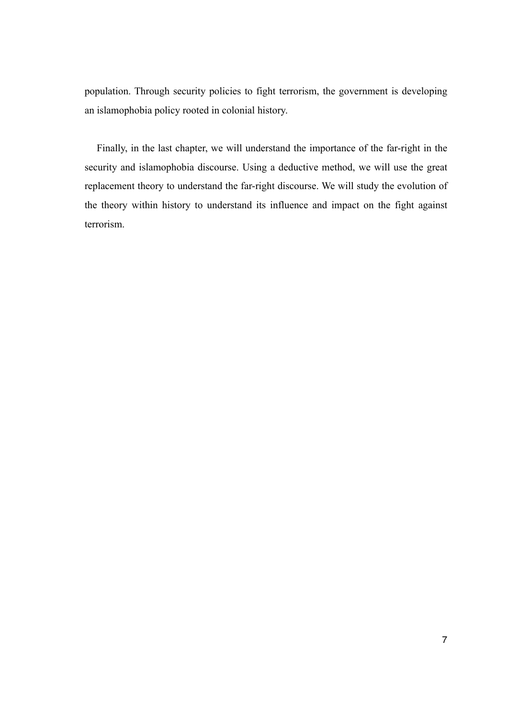population. Through security policies to fight terrorism, the government is developing an islamophobia policy rooted in colonial history.

Finally, in the last chapter, we will understand the importance of the far-right in the security and islamophobia discourse. Using a deductive method, we will use the great replacement theory to understand the far-right discourse. We will study the evolution of the theory within history to understand its influence and impact on the fight against terrorism.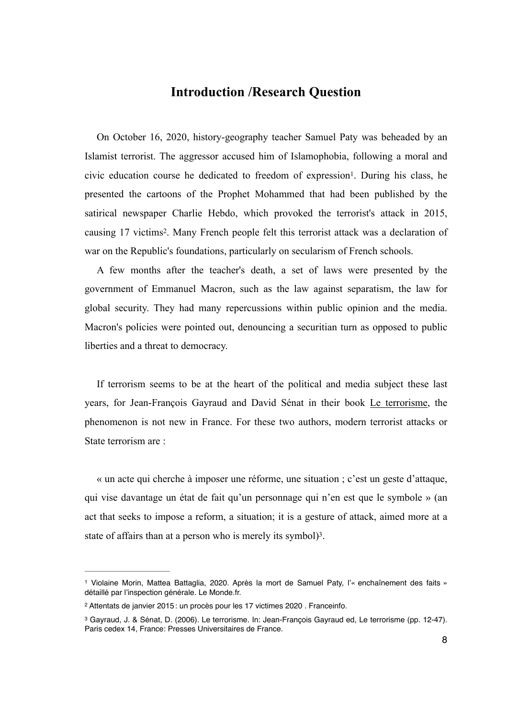#### <span id="page-7-3"></span>**Introduction /Research Question**

On October 16, 2020, history-geography teacher Samuel Paty was beheaded by an Islamist terrorist. The aggressor accused him of Islamophobia, following a moral and civic education course he dedicated to freedom of expression<sup>1</sup>[.](#page-7-0) During his class, he presented the cartoons of the Prophet Mohammed that had been published by the satirical newspaper Charlie Hebdo, which provoked the terrorist's attack in 2015, causing 17 victims<sup>[2](#page-7-1)</sup>. Many French people felt this terrorist attack was a declaration of war on the Republic's foundations, particularly on secularism of French schools.

<span id="page-7-4"></span>A few months after the teacher's death, a set of laws were presented by the government of Emmanuel Macron, such as the law against separatism, the law for global security. They had many repercussions within public opinion and the media. Macron's policies were pointed out, denouncing a securitian turn as opposed to public liberties and a threat to democracy.

If terrorism seems to be at the heart of the political and media subject these last years, for Jean-François Gayraud and David Sénat in their book Le terrorisme, the phenomenon is not new in France. For these two authors, modern terrorist attacks or State terrorism are :

« un acte qui cherche à imposer une réforme, une situation ; c'est un geste d'attaque, qui vise davantage un état de fait qu'un personnage qui n'en est que le symbole » (an act that seeks to impose a reform, a situation; it is a gesture of attack, aimed more at a state of affairs than at a person who is merely its symbol $)$ <sup>3</sup>[.](#page-7-2)

<span id="page-7-5"></span><span id="page-7-0"></span>Violaine Morin, Mattea Battaglia, 2020. Après la mort de Samuel Paty, l'« enchaînement des faits » [1](#page-7-3) détaillé par l'inspection générale. Le Monde.fr.

<span id="page-7-1"></span>Attentats de janvier 2015 : un procès pour les 17 victimes 2020 . Franceinfo. [2](#page-7-4)

<span id="page-7-2"></span><sup>&</sup>lt;sup>3</sup>Gayraud, J. & Sénat, D. (2006). Le terrorisme. In: Jean-Francois Gayraud ed. Le terrorisme (pp. 12-47). Paris cedex 14, France: Presses Universitaires de France.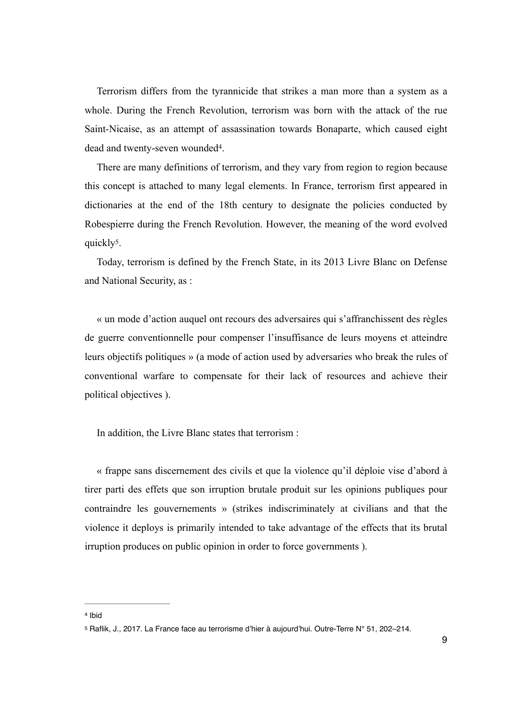Terrorism differs from the tyrannicide that strikes a man more than a system as a whole. During the French Revolution, terrorism was born with the attack of the rue Saint-Nicaise, as an attempt of assassination towards Bonaparte, which caused eight dead and twenty-seven wounded<sup>[4](#page-8-0)</sup>.

<span id="page-8-2"></span>There are many definitions of terrorism, and they vary from region to region because this concept is attached to many legal elements. In France, terrorism first appeared in dictionaries at the end of the 18th century to designate the policies conducted by Robespierre during the French Revolution. However, the meaning of the word evolved quickly<sup>[5](#page-8-1)</sup>.

<span id="page-8-3"></span>Today, terrorism is defined by the French State, in its 2013 Livre Blanc on Defense and National Security, as :

« un mode d'action auquel ont recours des adversaires qui s'affranchissent des règles de guerre conventionnelle pour compenser l'insuffisance de leurs moyens et atteindre leurs objectifs politiques » (a mode of action used by adversaries who break the rules of conventional warfare to compensate for their lack of resources and achieve their political objectives ).

In addition, the Livre Blanc states that terrorism :

« frappe sans discernement des civils et que la violence qu'il déploie vise d'abord à tirer parti des effets que son irruption brutale produit sur les opinions publiques pour contraindre les gouvernements » (strikes indiscriminately at civilians and that the violence it deploys is primarily intended to take advantage of the effects that its brutal irruption produces on public opinion in order to force governments ).

<span id="page-8-0"></span>[<sup>4</sup>](#page-8-2) Ibid

<span id="page-8-1"></span>[<sup>5</sup>](#page-8-3) Raflik, J., 2017. La France face au terrorisme d'hier à aujourd'hui. Outre-Terre N° 51, 202-214.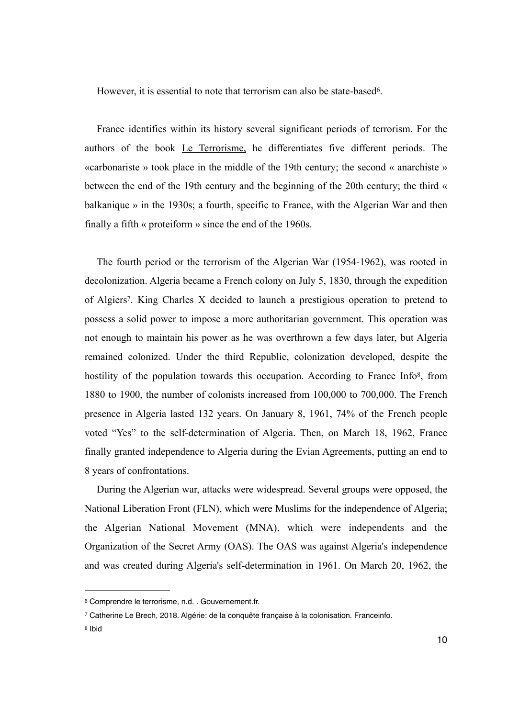<span id="page-9-3"></span>However, it is essential to note that terrorism can also be state-based<sup>[6](#page-9-0)</sup>.

France identifies within its history several significant periods of terrorism. For the authors of the book Le Terrorisme, he differentiates five different periods. The «carbonariste » took place in the middle of the 19th century; the second « anarchiste » between the end of the 19th century and the beginning of the 20th century; the third « balkanique » in the 1930s; a fourth, specific to France, with the Algerian War and then finally a fifth « proteiform » since the end of the 1960s.

<span id="page-9-5"></span><span id="page-9-4"></span>The fourth period or the terrorism of the Algerian War (1954-1962), was rooted in decolonization. Algeria became a French colony on July 5, 1830, through the expedition of Algiers<sup>[7](#page-9-1)</sup>. King Charles X decided to launch a prestigious operation to pretend to possess a solid power to impose a more authoritarian government. This operation was not enough to maintain his power as he was overthrown a few days later, but Algeria remained colonized. Under the third Republic, colonization developed, despite the hostility of the population towards this occupation. According to France Info<sup>8</sup>[,](#page-9-2) from 1880 to 1900, the number of colonists increased from 100,000 to 700,000. The French presence in Algeria lasted 132 years. On January 8, 1961, 74% of the French people voted "Yes" to the self-determination of Algeria. Then, on March 18, 1962, France finally granted independence to Algeria during the Evian Agreements, putting an end to 8 years of confrontations.

During the Algerian war, attacks were widespread. Several groups were opposed, the National Liberation Front (FLN), which were Muslims for the independence of Algeria; the Algerian National Movement (MNA), which were independents and the Organization of the Secret Army (OAS). The OAS was against Algeria's independence and was created during Algeria's self-determination in 1961. On March 20, 1962, the

<span id="page-9-0"></span><sup>&</sup>lt;sup>[6](#page-9-3)</sup> Comprendre le terrorisme, n.d., Gouvernement.fr.

<span id="page-9-1"></span>Catherine Le Brech, 2018. Algérie: de la conquête française à la colonisation. Franceinfo. [7](#page-9-4)

<span id="page-9-2"></span>[<sup>8</sup>](#page-9-5) Ibid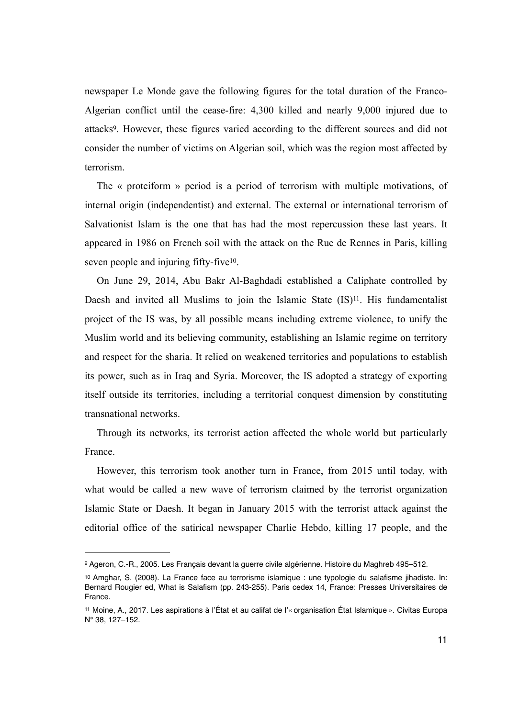<span id="page-10-3"></span>newspaper Le Monde gave the following figures for the total duration of the Franco-Algerian conflict until the cease-fire: 4,300 killed and nearly 9,000 injured due to attacks<sup>9</sup>[.](#page-10-0) However, these figures varied according to the different sources and did not consider the number of victims on Algerian soil, which was the region most affected by terrorism.

The « proteiform » period is a period of terrorism with multiple motivations, of internal origin (independentist) and external. The external or international terrorism of Salvationist Islam is the one that has had the most repercussion these last years. It appeared in 1986 on French soil with the attack on the Rue de Rennes in Paris, killing seven people and injuring fifty-five $10$ .

<span id="page-10-5"></span><span id="page-10-4"></span>On June 29, 2014, Abu Bakr Al-Baghdadi established a Caliphate controlled by Daesh and invited all Muslims to join the Islamic State  $(IS)^{11}$  $(IS)^{11}$  $(IS)^{11}$ [.](#page-10-2) His fundamentalist project of the IS was, by all possible means including extreme violence, to unify the Muslim world and its believing community, establishing an Islamic regime on territory and respect for the sharia. It relied on weakened territories and populations to establish its power, such as in Iraq and Syria. Moreover, the IS adopted a strategy of exporting itself outside its territories, including a territorial conquest dimension by constituting transnational networks.

Through its networks, its terrorist action affected the whole world but particularly France.

However, this terrorism took another turn in France, from 2015 until today, with what would be called a new wave of terrorism claimed by the terrorist organization Islamic State or Daesh. It began in January 2015 with the terrorist attack against the editorial office of the satirical newspaper Charlie Hebdo, killing 17 people, and the

<span id="page-10-0"></span>[<sup>9</sup>](#page-10-3) Ageron, C.-R., 2005. Les Français devant la guerre civile algérienne. Histoire du Maghreb 495-512.

<span id="page-10-1"></span><sup>&</sup>lt;sup>10</sup>Amghar, S. (2008). La France face au terrorisme islamique : une typologie du salafisme jihadiste. In: Bernard Rougier ed, What is Salafism (pp. 243-255). Paris cedex 14, France: Presses Universitaires de France.

<span id="page-10-2"></span>[<sup>11</sup>](#page-10-5) Moine, A., 2017. Les aspirations à l'État et au califat de l'« organisation État Islamique ». Civitas Europa N° 38, 127–152.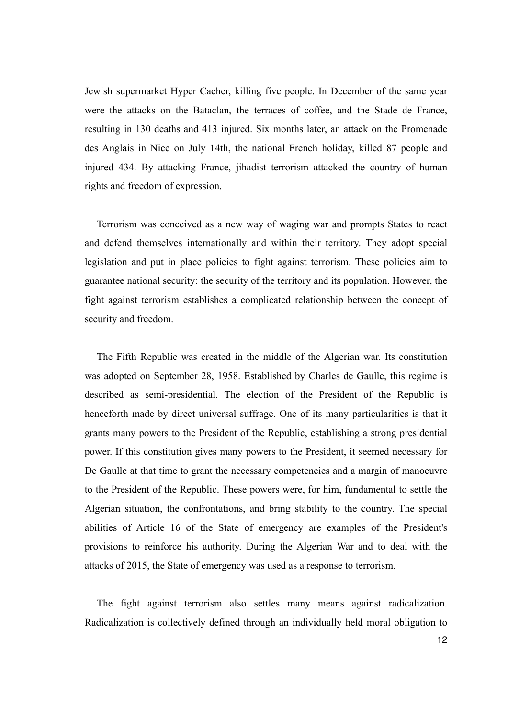Jewish supermarket Hyper Cacher, killing five people. In December of the same year were the attacks on the Bataclan, the terraces of coffee, and the Stade de France, resulting in 130 deaths and 413 injured. Six months later, an attack on the Promenade des Anglais in Nice on July 14th, the national French holiday, killed 87 people and injured 434. By attacking France, jihadist terrorism attacked the country of human rights and freedom of expression.

Terrorism was conceived as a new way of waging war and prompts States to react and defend themselves internationally and within their territory. They adopt special legislation and put in place policies to fight against terrorism. These policies aim to guarantee national security: the security of the territory and its population. However, the fight against terrorism establishes a complicated relationship between the concept of security and freedom.

The Fifth Republic was created in the middle of the Algerian war. Its constitution was adopted on September 28, 1958. Established by Charles de Gaulle, this regime is described as semi-presidential. The election of the President of the Republic is henceforth made by direct universal suffrage. One of its many particularities is that it grants many powers to the President of the Republic, establishing a strong presidential power. If this constitution gives many powers to the President, it seemed necessary for De Gaulle at that time to grant the necessary competencies and a margin of manoeuvre to the President of the Republic. These powers were, for him, fundamental to settle the Algerian situation, the confrontations, and bring stability to the country. The special abilities of Article 16 of the State of emergency are examples of the President's provisions to reinforce his authority. During the Algerian War and to deal with the attacks of 2015, the State of emergency was used as a response to terrorism.

The fight against terrorism also settles many means against radicalization. Radicalization is collectively defined through an individually held moral obligation to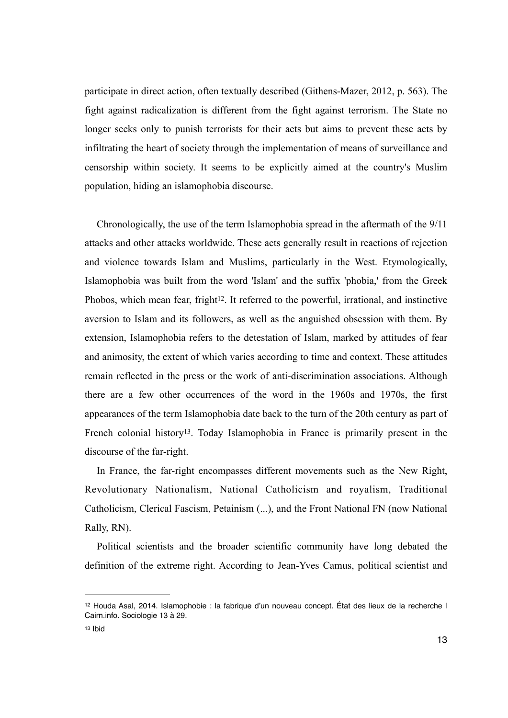participate in direct action, often textually described (Githens-Mazer, 2012, p. 563). The fight against radicalization is different from the fight against terrorism. The State no longer seeks only to punish terrorists for their acts but aims to prevent these acts by infiltrating the heart of society through the implementation of means of surveillance and censorship within society. It seems to be explicitly aimed at the country's Muslim population, hiding an islamophobia discourse.

<span id="page-12-2"></span>Chronologically, the use of the term Islamophobia spread in the aftermath of the 9/11 attacks and other attacks worldwide. These acts generally result in reactions of rejection and violence towards Islam and Muslims, particularly in the West. Etymologically, Islamophobia was built from the word 'Islam' and the suffix 'phobia,' from the Greek Phobos, which mean fear, fright<sup>12</sup>[.](#page-12-0) It referred to the powerful, irrational, and instinctive aversion to Islam and its followers, as well as the anguished obsession with them. By extension, Islamophobia refers to the detestation of Islam, marked by attitudes of fear and animosity, the extent of which varies according to time and context. These attitudes remain reflected in the press or the work of anti-discrimination associations. Although there are a few other occurrences of the word in the 1960s and 1970s, the first appearances of the term Islamophobia date back to the turn of the 20th century as part of French colonial history<sup>13</sup>[.](#page-12-1) Today Islamophobia in France is primarily present in the discourse of the far-right.

<span id="page-12-3"></span>In France, the far-right encompasses different movements such as the New Right, Revolutionary Nationalism, National Catholicism and royalism, Traditional Catholicism, Clerical Fascism, Petainism (...), and the Front National FN (now National Rally, RN).

Political scientists and the broader scientific community have long debated the definition of the extreme right. According to Jean-Yves Camus, political scientist and

<span id="page-12-0"></span><sup>&</sup>lt;sup>[12](#page-12-2)</sup> Houda Asal, 2014. Islamophobie : la fabrique d'un nouveau concept. État des lieux de la recherche l Cairn.info. Sociologie 13 à 29.

<span id="page-12-1"></span>[<sup>13</sup>](#page-12-3) Ibid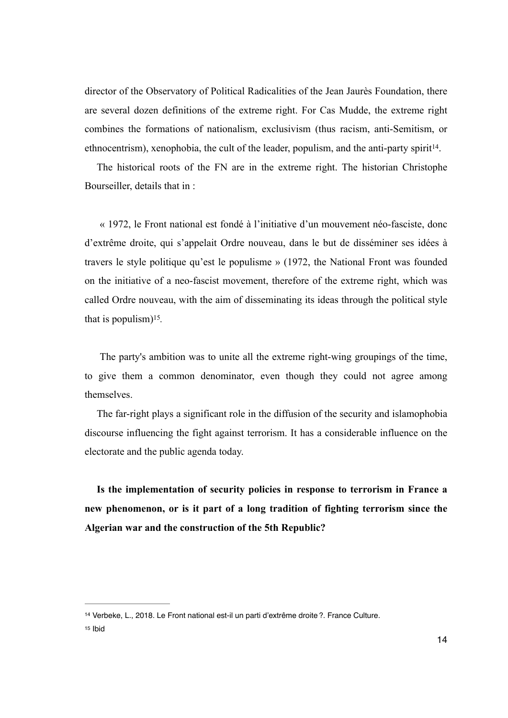director of the Observatory of Political Radicalities of the Jean Jaurès Foundation, there are several dozen definitions of the extreme right. For Cas Mudde, the extreme right combines the formations of nationalism, exclusivism (thus racism, anti-Semitism, or ethnocentrism), xenophobia, the cult of the leader, populism, and the anti-party spirit<sup>[14](#page-13-0)</sup>.

<span id="page-13-2"></span>The historical roots of the FN are in the extreme right. The historian Christophe Bourseiller, details that in :

 « 1972, le Front national est fondé à l'initiative d'un mouvement néo-fasciste, donc d'extrême droite, qui s'appelait Ordre nouveau, dans le but de disséminer ses idées à travers le style politique qu'est le populisme » (1972, the National Front was founded on the initiative of a neo-fascist movement, therefore of the extreme right, which was called Ordre nouveau, with the aim of disseminating its ideas through the political style that is populism)<sup>[15](#page-13-1)</sup>.

<span id="page-13-3"></span> The party's ambition was to unite all the extreme right-wing groupings of the time, to give them a common denominator, even though they could not agree among themselves.

The far-right plays a significant role in the diffusion of the security and islamophobia discourse influencing the fight against terrorism. It has a considerable influence on the electorate and the public agenda today.

**Is the implementation of security policies in response to terrorism in France a new phenomenon, or is it part of a long tradition of fighting terrorism since the Algerian war and the construction of the 5th Republic?** 

<span id="page-13-1"></span>[15](#page-13-3) Ibid

<span id="page-13-0"></span><sup>&</sup>lt;sup>[14](#page-13-2)</sup> Verbeke, L., 2018. Le Front national est-il un parti d'extrême droite ?. France Culture.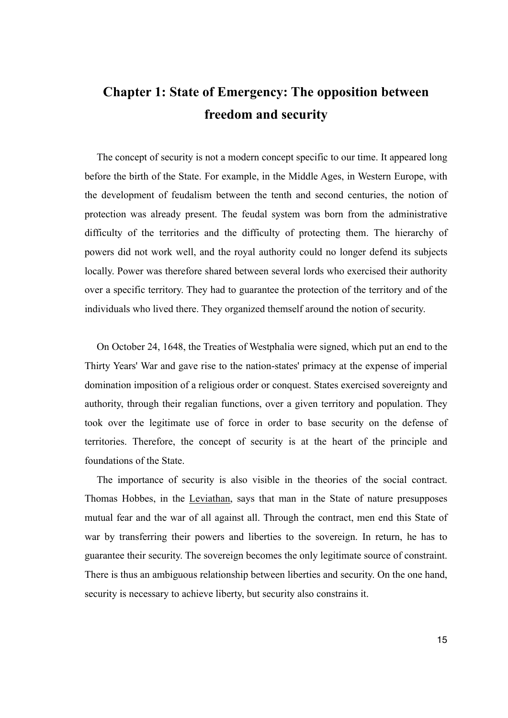# **Chapter 1: State of Emergency: The opposition between freedom and security**

The concept of security is not a modern concept specific to our time. It appeared long before the birth of the State. For example, in the Middle Ages, in Western Europe, with the development of feudalism between the tenth and second centuries, the notion of protection was already present. The feudal system was born from the administrative difficulty of the territories and the difficulty of protecting them. The hierarchy of powers did not work well, and the royal authority could no longer defend its subjects locally. Power was therefore shared between several lords who exercised their authority over a specific territory. They had to guarantee the protection of the territory and of the individuals who lived there. They organized themself around the notion of security.

On October 24, 1648, the Treaties of Westphalia were signed, which put an end to the Thirty Years' War and gave rise to the nation-states' primacy at the expense of imperial domination imposition of a religious order or conquest. States exercised sovereignty and authority, through their regalian functions, over a given territory and population. They took over the legitimate use of force in order to base security on the defense of territories. Therefore, the concept of security is at the heart of the principle and foundations of the State.

The importance of security is also visible in the theories of the social contract. Thomas Hobbes, in the Leviathan, says that man in the State of nature presupposes mutual fear and the war of all against all. Through the contract, men end this State of war by transferring their powers and liberties to the sovereign. In return, he has to guarantee their security. The sovereign becomes the only legitimate source of constraint. There is thus an ambiguous relationship between liberties and security. On the one hand, security is necessary to achieve liberty, but security also constrains it.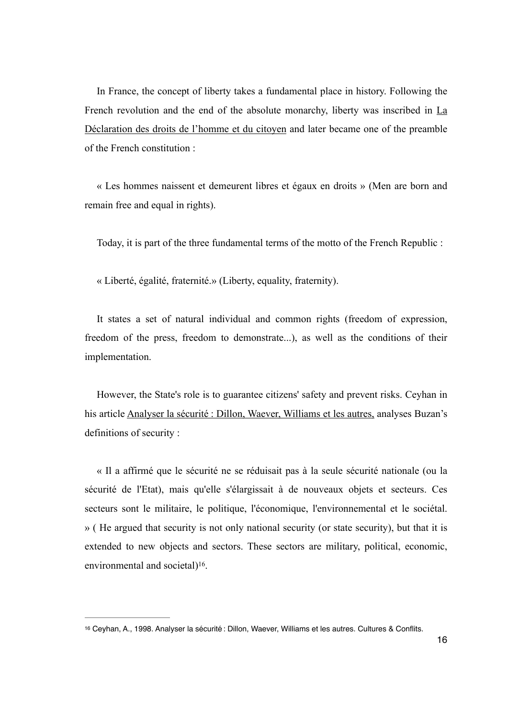In France, the concept of liberty takes a fundamental place in history. Following the French revolution and the end of the absolute monarchy, liberty was inscribed in La Déclaration des droits de l'homme et du citoyen and later became one of the preamble of the French constitution :

« Les hommes naissent et demeurent libres et égaux en droits » (Men are born and remain free and equal in rights).

Today, it is part of the three fundamental terms of the motto of the French Republic :

« Liberté, égalité, fraternité.» (Liberty, equality, fraternity).

It states a set of natural individual and common rights (freedom of expression, freedom of the press, freedom to demonstrate...), as well as the conditions of their implementation.

However, the State's role is to guarantee citizens' safety and prevent risks. Ceyhan in his article Analyser la sécurité : Dillon, Waever, Williams et les autres, analyses Buzan's definitions of security :

« Il a affirmé que le sécurité ne se réduisait pas à la seule sécurité nationale (ou la sécurité de l'Etat), mais qu'elle s'élargissait à de nouveaux objets et secteurs. Ces secteurs sont le militaire, le politique, l'économique, l'environnemental et le sociétal. » ( He argued that security is not only national security (or state security), but that it is extended to new objects and sectors. These sectors are military, political, economic, environmental and societal $)$ <sup>[16](#page-15-0)</sup>.

<span id="page-15-1"></span><span id="page-15-0"></span>[<sup>16</sup>](#page-15-1) Ceyhan, A., 1998. Analyser la sécurité : Dillon, Waever, Williams et les autres. Cultures & Conflits.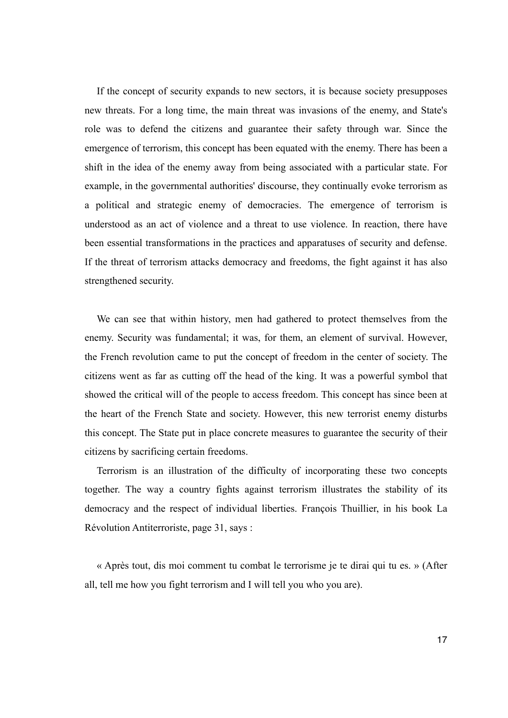If the concept of security expands to new sectors, it is because society presupposes new threats. For a long time, the main threat was invasions of the enemy, and State's role was to defend the citizens and guarantee their safety through war. Since the emergence of terrorism, this concept has been equated with the enemy. There has been a shift in the idea of the enemy away from being associated with a particular state. For example, in the governmental authorities' discourse, they continually evoke terrorism as a political and strategic enemy of democracies. The emergence of terrorism is understood as an act of violence and a threat to use violence. In reaction, there have been essential transformations in the practices and apparatuses of security and defense. If the threat of terrorism attacks democracy and freedoms, the fight against it has also strengthened security.

We can see that within history, men had gathered to protect themselves from the enemy. Security was fundamental; it was, for them, an element of survival. However, the French revolution came to put the concept of freedom in the center of society. The citizens went as far as cutting off the head of the king. It was a powerful symbol that showed the critical will of the people to access freedom. This concept has since been at the heart of the French State and society. However, this new terrorist enemy disturbs this concept. The State put in place concrete measures to guarantee the security of their citizens by sacrificing certain freedoms.

Terrorism is an illustration of the difficulty of incorporating these two concepts together. The way a country fights against terrorism illustrates the stability of its democracy and the respect of individual liberties. François Thuillier, in his book La Révolution Antiterroriste, page 31, says :

« Après tout, dis moi comment tu combat le terrorisme je te dirai qui tu es. » (After all, tell me how you fight terrorism and I will tell you who you are).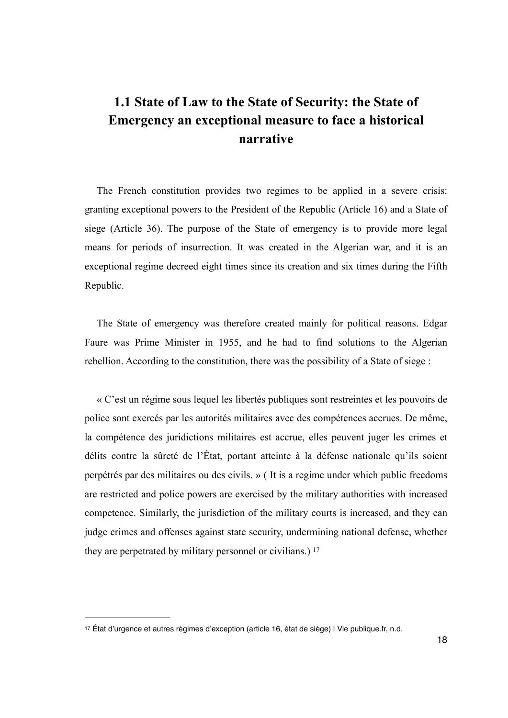## **1.1 State of Law to the State of Security: the State of Emergency an exceptional measure to face a historical narrative**

The French constitution provides two regimes to be applied in a severe crisis: granting exceptional powers to the President of the Republic (Article 16) and a State of siege (Article 36). The purpose of the State of emergency is to provide more legal means for periods of insurrection. It was created in the Algerian war, and it is an exceptional regime decreed eight times since its creation and six times during the Fifth Republic.

The State of emergency was therefore created mainly for political reasons. Edgar Faure was Prime Minister in 1955, and he had to find solutions to the Algerian rebellion. According to the constitution, there was the possibility of a State of siege :

« C'est un régime sous lequel les libertés publiques sont restreintes et les pouvoirs de police sont exercés par les autorités militaires avec des compétences accrues. De même, la compétence des juridictions militaires est accrue, elles peuvent juger les crimes et délits contre la sûreté de l'État, portant atteinte à la défense nationale qu'ils soient perpétrés par des militaires ou des civils. » ( It is a regime under which public freedoms are restricted and police powers are exercised by the military authorities with increased competence. Similarly, the jurisdiction of the military courts is increased, and they can judge crimes and offenses against state security, undermining national defense, whether they are perpetrated by military personnel or civilians.) [17](#page-17-0)

<span id="page-17-1"></span><span id="page-17-0"></span>[<sup>17</sup>](#page-17-1) État d'urgence et autres régimes d'exception (article 16, état de siège) | Vie publique.fr, n.d.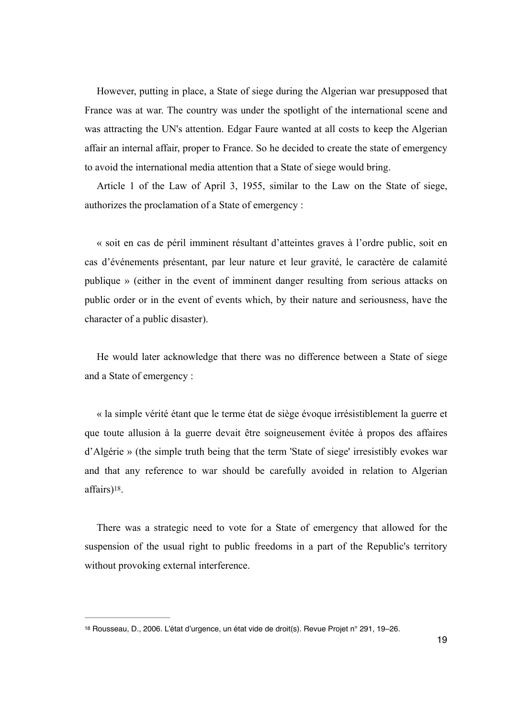However, putting in place, a State of siege during the Algerian war presupposed that France was at war. The country was under the spotlight of the international scene and was attracting the UN's attention. Edgar Faure wanted at all costs to keep the Algerian affair an internal affair, proper to France. So he decided to create the state of emergency to avoid the international media attention that a State of siege would bring.

Article 1 of the Law of April 3, 1955, similar to the Law on the State of siege, authorizes the proclamation of a State of emergency :

« soit en cas de péril imminent résultant d'atteintes graves à l'ordre public, soit en cas d'événements présentant, par leur nature et leur gravité, le caractère de calamité publique » (either in the event of imminent danger resulting from serious attacks on public order or in the event of events which, by their nature and seriousness, have the character of a public disaster).

He would later acknowledge that there was no difference between a State of siege and a State of emergency :

« la simple vérité étant que le terme état de siège évoque irrésistiblement la guerre et que toute allusion à la guerre devait être soigneusement évitée à propos des affaires d'Algérie » (the simple truth being that the term 'State of siege' irresistibly evokes war and that any reference to war should be carefully avoided in relation to Algerian affairs)<sup>18</sup>[.](#page-18-0)

<span id="page-18-1"></span>There was a strategic need to vote for a State of emergency that allowed for the suspension of the usual right to public freedoms in a part of the Republic's territory without provoking external interference.

<span id="page-18-0"></span>[<sup>18</sup>](#page-18-1) Rousseau, D., 2006. L'état d'urgence, un état vide de droit(s). Revue Projet n° 291, 19-26.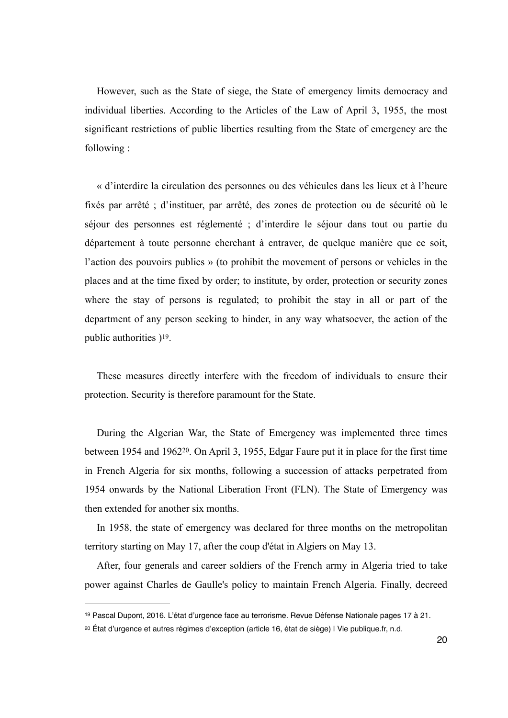However, such as the State of siege, the State of emergency limits democracy and individual liberties. According to the Articles of the Law of April 3, 1955, the most significant restrictions of public liberties resulting from the State of emergency are the following :

« d'interdire la circulation des personnes ou des véhicules dans les lieux et à l'heure fixés par arrêté ; d'instituer, par arrêté, des zones de protection ou de sécurité où le séjour des personnes est réglementé ; d'interdire le séjour dans tout ou partie du département à toute personne cherchant à entraver, de quelque manière que ce soit, l'action des pouvoirs publics » (to prohibit the movement of persons or vehicles in the places and at the time fixed by order; to institute, by order, protection or security zones where the stay of persons is regulated; to prohibit the stay in all or part of the department of any person seeking to hinder, in any way whatsoever, the action of the public authorities  $)$ <sup>19</sup>[.](#page-19-0)

<span id="page-19-2"></span>These measures directly interfere with the freedom of individuals to ensure their protection. Security is therefore paramount for the State.

<span id="page-19-3"></span>During the Algerian War, the State of Emergency was implemented three times between 1954 and 1962<sup>20</sup>[.](#page-19-1) On April 3, 1955, Edgar Faure put it in place for the first time in French Algeria for six months, following a succession of attacks perpetrated from 1954 onwards by the National Liberation Front (FLN). The State of Emergency was then extended for another six months.

In 1958, the state of emergency was declared for three months on the metropolitan territory starting on May 17, after the coup d'état in Algiers on May 13.

After, four generals and career soldiers of the French army in Algeria tried to take power against Charles de Gaulle's policy to maintain French Algeria. Finally, decreed

<span id="page-19-0"></span><sup>&</sup>lt;sup>[19](#page-19-2)</sup> Pascal Dupont, 2016. L'état d'urgence face au terrorisme. Revue Défense Nationale pages 17 à 21.

<span id="page-19-1"></span>État d'urgence et autres régimes d'exception (article 16, état de siège) | Vie publique.fr, n.d. [20](#page-19-3)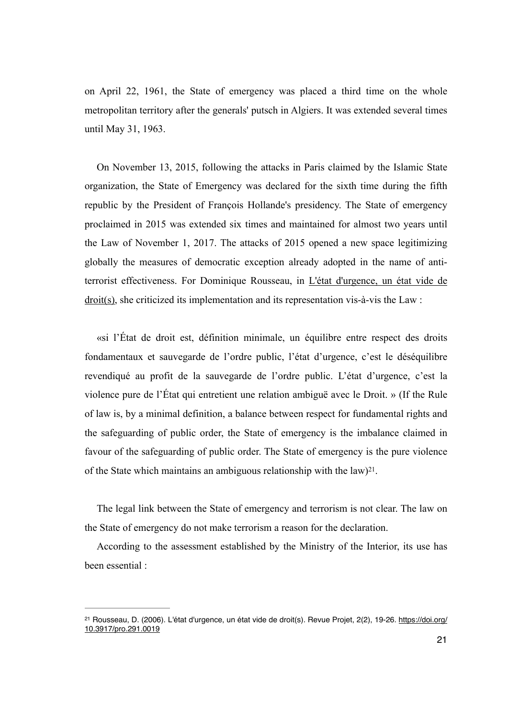on April 22, 1961, the State of emergency was placed a third time on the whole metropolitan territory after the generals' putsch in Algiers. It was extended several times until May 31, 1963.

On November 13, 2015, following the attacks in Paris claimed by the Islamic State organization, the State of Emergency was declared for the sixth time during the fifth republic by the President of François Hollande's presidency. The State of emergency proclaimed in 2015 was extended six times and maintained for almost two years until the Law of November 1, 2017. The attacks of 2015 opened a new space legitimizing globally the measures of democratic exception already adopted in the name of antiterrorist effectiveness. For Dominique Rousseau, in L'état d'urgence, un état vide de droit(s), she criticized its implementation and its representation vis-à-vis the Law :

«si l'État de droit est, définition minimale, un équilibre entre respect des droits fondamentaux et sauvegarde de l'ordre public, l'état d'urgence, c'est le déséquilibre revendiqué au profit de la sauvegarde de l'ordre public. L'état d'urgence, c'est la violence pure de l'État qui entretient une relation ambiguë avec le Droit. » (If the Rule of law is, by a minimal definition, a balance between respect for fundamental rights and the safeguarding of public order, the State of emergency is the imbalance claimed in favour of the safeguarding of public order. The State of emergency is the pure violence of the State which maintains an ambiguous relationship with the law $)^{21}$  $)^{21}$  $)^{21}$ [.](#page-20-0)

<span id="page-20-1"></span>The legal link between the State of emergency and terrorism is not clear. The law on the State of emergency do not make terrorism a reason for the declaration.

According to the assessment established by the Ministry of the Interior, its use has been essential :

<span id="page-20-0"></span><sup>&</sup>lt;sup>21</sup> Rousseau, D. (2006). L'état d'urgence, un état vide de droit(s). Revue Projet, 2(2), 19-26. [https://doi.org/](https://doi.org/10.3917/pro.291.0019) [10.3917/pro.291.0019](https://doi.org/10.3917/pro.291.0019)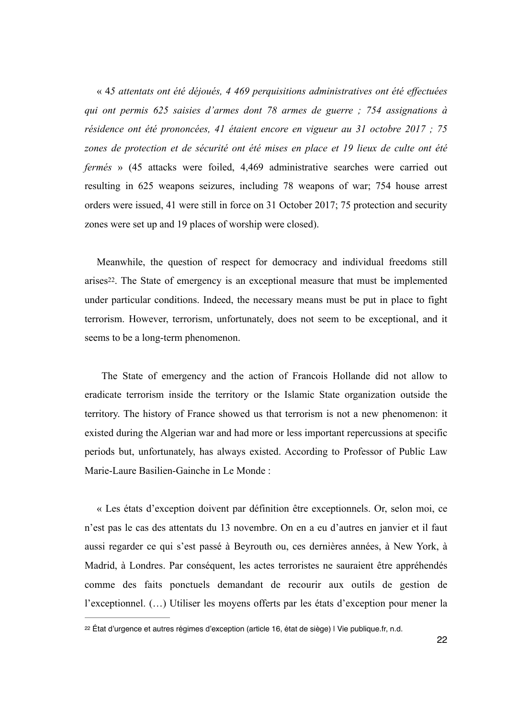« 4*5 attentats ont été déjoués, 4 469 perquisitions administratives ont été effectuées qui ont permis 625 saisies d'armes dont 78 armes de guerre ; 754 assignations à résidence ont été prononcées, 41 étaient encore en vigueur au 31 octobre 2017 ; 75 zones de protection et de sécurité ont été mises en place et 19 lieux de culte ont été fermés* » (45 attacks were foiled, 4,469 administrative searches were carried out resulting in 625 weapons seizures, including 78 weapons of war; 754 house arrest orders were issued, 41 were still in force on 31 October 2017; 75 protection and security zones were set up and 19 places of worship were closed).

<span id="page-21-1"></span>Meanwhile, the question of respect for democracy and individual freedoms still arises<sup>22</sup>[.](#page-21-0) The State of emergency is an exceptional measure that must be implemented under particular conditions. Indeed, the necessary means must be put in place to fight terrorism. However, terrorism, unfortunately, does not seem to be exceptional, and it seems to be a long-term phenomenon.

 The State of emergency and the action of Francois Hollande did not allow to eradicate terrorism inside the territory or the Islamic State organization outside the territory. The history of France showed us that terrorism is not a new phenomenon: it existed during the Algerian war and had more or less important repercussions at specific periods but, unfortunately, has always existed. According to Professor of Public Law Marie-Laure Basilien-Gainche in Le Monde :

« Les états d'exception doivent par définition être exceptionnels. Or, selon moi, ce n'est pas le cas des attentats du 13 novembre. On en a eu d'autres en janvier et il faut aussi regarder ce qui s'est passé à Beyrouth ou, ces dernières années, à New York, à Madrid, à Londres. Par conséquent, les actes terroristes ne sauraient être appréhendés comme des faits ponctuels demandant de recourir aux outils de gestion de l'exceptionnel. (…) Utiliser les moyens offerts par les états d'exception pour mener la

<span id="page-21-0"></span><sup>&</sup>lt;sup>[22](#page-21-1)</sup> État d'urgence et autres régimes d'exception (article 16, état de siège) I Vie publique.fr, n.d.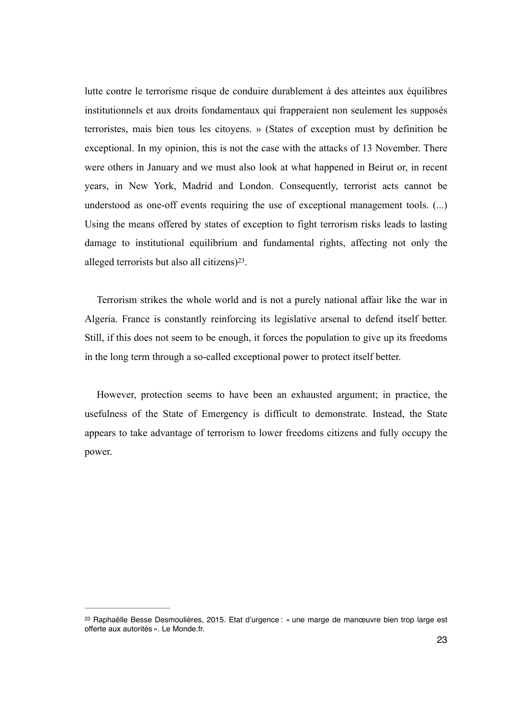lutte contre le terrorisme risque de conduire durablement à des atteintes aux équilibres institutionnels et aux droits fondamentaux qui frapperaient non seulement les supposés terroristes, mais bien tous les citoyens. » (States of exception must by definition be exceptional. In my opinion, this is not the case with the attacks of 13 November. There were others in January and we must also look at what happened in Beirut or, in recent years, in New York, Madrid and London. Consequently, terrorist acts cannot be understood as one-off events requiring the use of exceptional management tools. (...) Using the means offered by states of exception to fight terrorism risks leads to lasting damage to institutional equilibrium and fundamental rights, affecting not only the alleged terrorists but also all citizens)<sup>23</sup>[.](#page-22-0)

<span id="page-22-1"></span>Terrorism strikes the whole world and is not a purely national affair like the war in Algeria. France is constantly reinforcing its legislative arsenal to defend itself better. Still, if this does not seem to be enough, it forces the population to give up its freedoms in the long term through a so-called exceptional power to protect itself better.

However, protection seems to have been an exhausted argument; in practice, the usefulness of the State of Emergency is difficult to demonstrate. Instead, the State appears to take advantage of terrorism to lower freedoms citizens and fully occupy the power.

<span id="page-22-0"></span><sup>&</sup>lt;sup>[23](#page-22-1)</sup> Raphaëlle Besse Desmoulières, 2015. Etat d'urgence : « une marge de manœuvre bien trop large est offerte aux autorités ». Le Monde.fr.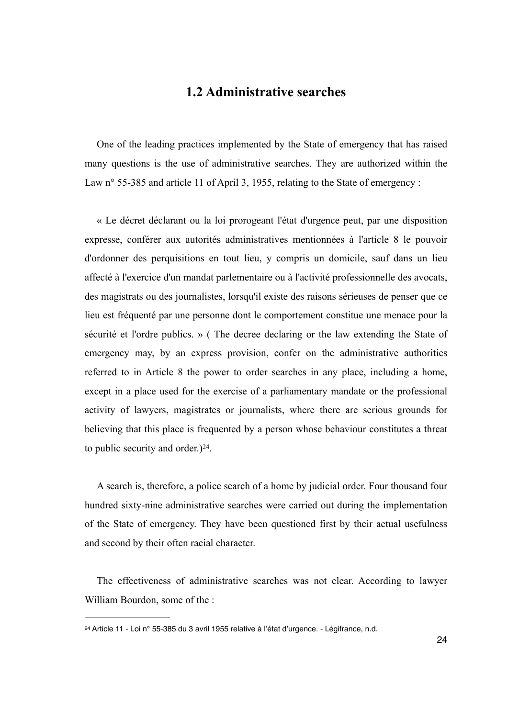## **1.2 Administrative searches**

One of the leading practices implemented by the State of emergency that has raised many questions is the use of administrative searches. They are authorized within the Law n° 55-385 and article 11 of April 3, 1955, relating to the State of emergency :

« Le décret déclarant ou la loi prorogeant l'état d'urgence peut, par une disposition expresse, conférer aux autorités administratives mentionnées à l'article 8 le pouvoir d'ordonner des perquisitions en tout lieu, y compris un domicile, sauf dans un lieu affecté à l'exercice d'un mandat parlementaire ou à l'activité professionnelle des avocats, des magistrats ou des journalistes, lorsqu'il existe des raisons sérieuses de penser que ce lieu est fréquenté par une personne dont le comportement constitue une menace pour la sécurité et l'ordre publics. » ( The decree declaring or the law extending the State of emergency may, by an express provision, confer on the administrative authorities referred to in Article 8 the power to order searches in any place, including a home, except in a place used for the exercise of a parliamentary mandate or the professional activity of lawyers, magistrates or journalists, where there are serious grounds for believing that this place is frequented by a person whose behaviour constitutes a threat to public security and order[.](#page-23-0)) $24$ .

<span id="page-23-1"></span>A search is, therefore, a police search of a home by judicial order. Four thousand four hundred sixty-nine administrative searches were carried out during the implementation of the State of emergency. They have been questioned first by their actual usefulness and second by their often racial character.

The effectiveness of administrative searches was not clear. According to lawyer William Bourdon, some of the :

<span id="page-23-0"></span><sup>&</sup>lt;sup>[24](#page-23-1)</sup> Article 11 - Loi nº 55-385 du 3 avril 1955 relative à l'état d'urgence. - Légifrance, n.d.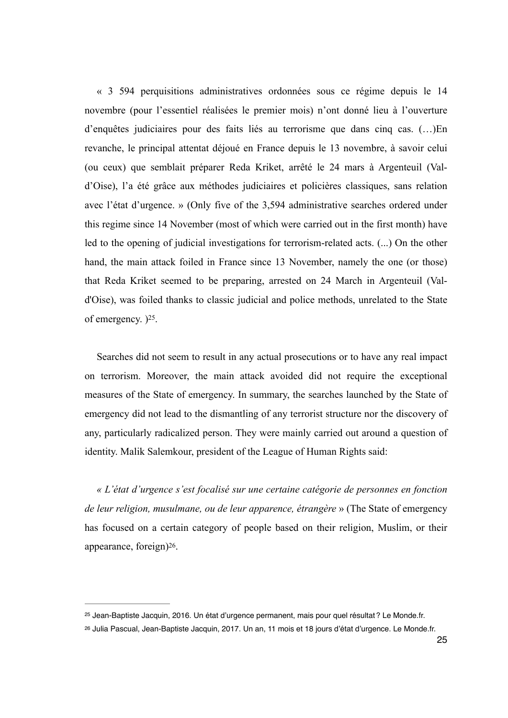« 3 594 perquisitions administratives ordonnées sous ce régime depuis le 14 novembre (pour l'essentiel réalisées le premier mois) n'ont donné lieu à l'ouverture d'enquêtes judiciaires pour des faits liés au terrorisme que dans cinq cas. (…)En revanche, le principal attentat déjoué en France depuis le 13 novembre, à savoir celui (ou ceux) que semblait préparer Reda Kriket, arrêté le 24 mars à Argenteuil (Vald'Oise), l'a été grâce aux méthodes judiciaires et policières classiques, sans relation avec l'état d'urgence. » (Only five of the 3,594 administrative searches ordered under this regime since 14 November (most of which were carried out in the first month) have led to the opening of judicial investigations for terrorism-related acts. (...) On the other hand, the main attack foiled in France since 13 November, namely the one (or those) that Reda Kriket seemed to be preparing, arrested on 24 March in Argenteuil (Vald'Oise), was foiled thanks to classic judicial and police methods, unrelated to the State of emergency[.](#page-24-0)  $)$ <sup>[25](#page-24-0)</sup>.

<span id="page-24-2"></span>Searches did not seem to result in any actual prosecutions or to have any real impact on terrorism. Moreover, the main attack avoided did not require the exceptional measures of the State of emergency. In summary, the searches launched by the State of emergency did not lead to the dismantling of any terrorist structure nor the discovery of any, particularly radicalized person. They were mainly carried out around a question of identity. Malik Salemkour, president of the League of Human Rights said:

<span id="page-24-3"></span>*« L'état d'urgence s'est focalisé sur une certaine catégorie de personnes en fonction de leur religion, musulmane, ou de leur apparence, étrangère* » (The State of emergency has focused on a certain category of people based on their religion, Muslim, or their appearance, foreign $)$ <sup>26</sup>[.](#page-24-1)

<span id="page-24-0"></span><sup>&</sup>lt;sup>[25](#page-24-2)</sup> Jean-Baptiste Jacquin, 2016. Un état d'urgence permanent, mais pour quel résultat ? Le Monde.fr.

<span id="page-24-1"></span><sup>&</sup>lt;sup>[26](#page-24-3)</sup> Julia Pascual, Jean-Baptiste Jacquin, 2017. Un an, 11 mois et 18 jours d'état d'urgence. Le Monde.fr.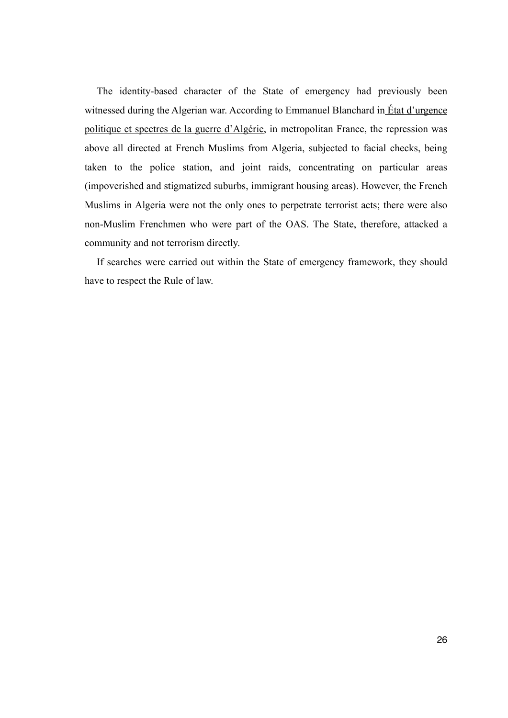The identity-based character of the State of emergency had previously been witnessed during the Algerian war. According to Emmanuel Blanchard in  $\frac{E}{E}$ tat d'urgence politique et spectres de la guerre d'Algérie, in metropolitan France, the repression was above all directed at French Muslims from Algeria, subjected to facial checks, being taken to the police station, and joint raids, concentrating on particular areas (impoverished and stigmatized suburbs, immigrant housing areas). However, the French Muslims in Algeria were not the only ones to perpetrate terrorist acts; there were also non-Muslim Frenchmen who were part of the OAS. The State, therefore, attacked a community and not terrorism directly.

If searches were carried out within the State of emergency framework, they should have to respect the Rule of law.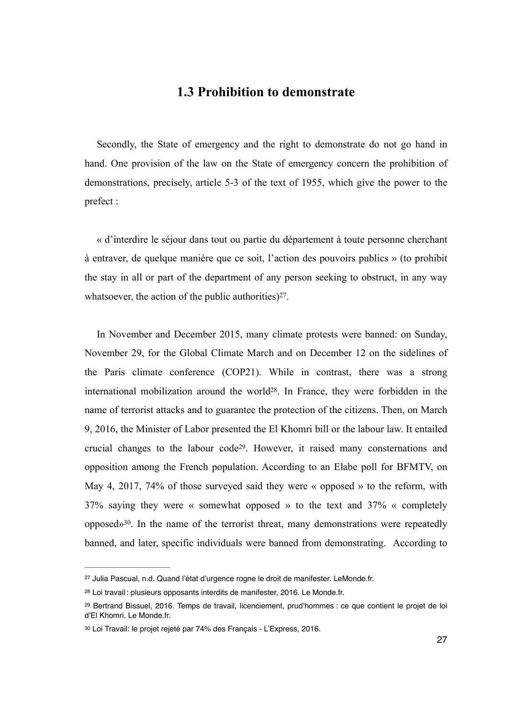#### **1.3 Prohibition to demonstrate**

Secondly, the State of emergency and the right to demonstrate do not go hand in hand. One provision of the law on the State of emergency concern the prohibition of demonstrations, precisely, article 5-3 of the text of 1955, which give the power to the prefect :

« d'interdire le séjour dans tout ou partie du département à toute personne cherchant à entraver, de quelque manière que ce soit, l'action des pouvoirs publics » (to prohibit the stay in all or part of the department of any person seeking to obstruct, in any way whatsoever, the action of the public authorities) $27$ [.](#page-26-0)

<span id="page-26-6"></span><span id="page-26-5"></span><span id="page-26-4"></span>In November and December 2015, many climate protests were banned: on Sunday, November 29, for the Global Climate March and on December 12 on the sidelines of the Paris climate conference (COP21). While in contrast, there was a strong international mobilization around the world $28$ . In France, they were forbidden in the name of terrorist attacks and to guarantee the protection of the citizens. Then, on March 9, 2016, the Minister of Labor presented the El Khomri bill or the labour law. It entailed crucial changes to the labour code<sup>29</sup>[.](#page-26-2) However, it raised many consternations and opposition among the French population. According to an Elabe poll for BFMTV, on May 4, 2017, 74% of those surveyed said they were « opposed » to the reform, with 37% saying they were « somewhat opposed » to the text and 37% « completely  $opposed<sub>30</sub>$  $opposed<sub>30</sub>$  $opposed<sub>30</sub>$ . In the name of the terrorist threat, many demonstrations were repeatedly banned, and later, specific individuals were banned from demonstrating. According to

<span id="page-26-7"></span><span id="page-26-0"></span><sup>&</sup>lt;sup>[27](#page-26-4)</sup> Julia Pascual, n.d. Quand l'état d'urgence rogne le droit de manifester. LeMonde.fr.

<span id="page-26-1"></span>[<sup>28</sup>](#page-26-5) Loi travail : plusieurs opposants interdits de manifester, 2016. Le Monde.fr.

<span id="page-26-2"></span><sup>&</sup>lt;sup>[29](#page-26-6)</sup> Bertrand Bissuel, 2016. Temps de travail, licenciement, prud'hommes : ce que contient le projet de loi d'El Khomri. Le Monde.fr.

<span id="page-26-3"></span>Loi Travail: le projet rejeté par 74% des Français - L'Express, 2016. [30](#page-26-7)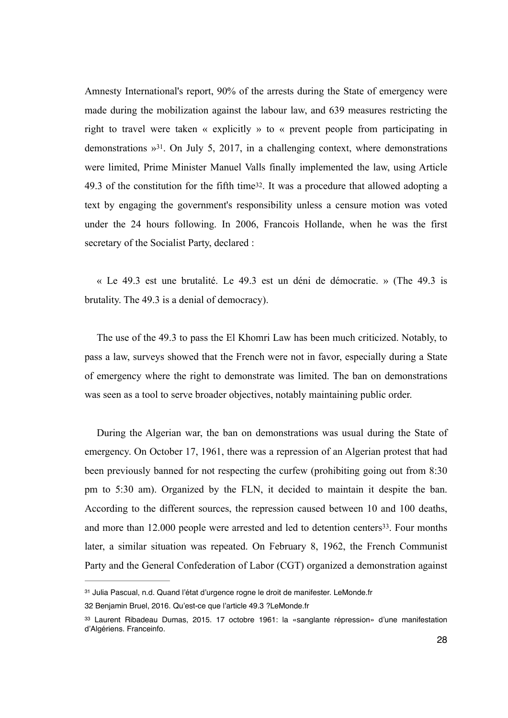<span id="page-27-4"></span><span id="page-27-3"></span>Amnesty International's report, 90% of the arrests during the State of emergency were made during the mobilization against the labour law, and 639 measures restricting the right to travel were taken « explicitly » to « prevent people from participating in demonstrations  $\frac{1}{2}$ . On July 5, 2017, in a challenging context, where demonstrations were limited, Prime Minister Manuel Valls finally implemented the law, using Article 49[.](#page-27-1)3 of the constitution for the fifth time<sup>[32](#page-27-1)</sup>. It was a procedure that allowed adopting a text by engaging the government's responsibility unless a censure motion was voted under the 24 hours following. In 2006, Francois Hollande, when he was the first secretary of the Socialist Party, declared :

« Le 49.3 est une brutalité. Le 49.3 est un déni de démocratie. » (The 49.3 is brutality. The 49.3 is a denial of democracy).

The use of the 49.3 to pass the El Khomri Law has been much criticized. Notably, to pass a law, surveys showed that the French were not in favor, especially during a State of emergency where the right to demonstrate was limited. The ban on demonstrations was seen as a tool to serve broader objectives, notably maintaining public order.

During the Algerian war, the ban on demonstrations was usual during the State of emergency. On October 17, 1961, there was a repression of an Algerian protest that had been previously banned for not respecting the curfew (prohibiting going out from 8:30 pm to 5:30 am). Organized by the FLN, it decided to maintain it despite the ban. According to the different sources, the repression caused between 10 and 100 deaths, and more than  $12.000$  people were arrested and led to detention centers<sup>[33](#page-27-2)</sup>. Four months later, a similar situation was repeated. On February 8, 1962, the French Communist Party and the General Confederation of Labor (CGT) organized a demonstration against

<span id="page-27-5"></span><span id="page-27-0"></span><sup>31</sup> Julia Pascual, n.d. Quand l'état d'urgence rogne le droit de manifester. [LeMonde.fr](http://LeMonde.fr)

<span id="page-27-1"></span>[<sup>32</sup>](#page-27-4) Benjamin Bruel, 2016. Qu'est-ce que l'article 49.3 ?[LeMonde.fr](http://LeMonde.fr)

<span id="page-27-2"></span><sup>33</sup>Laurent Ribadeau Dumas, 2015. 17 octobre 1961: la «sanglante répression» d'une manifestation d'Algériens. Franceinfo.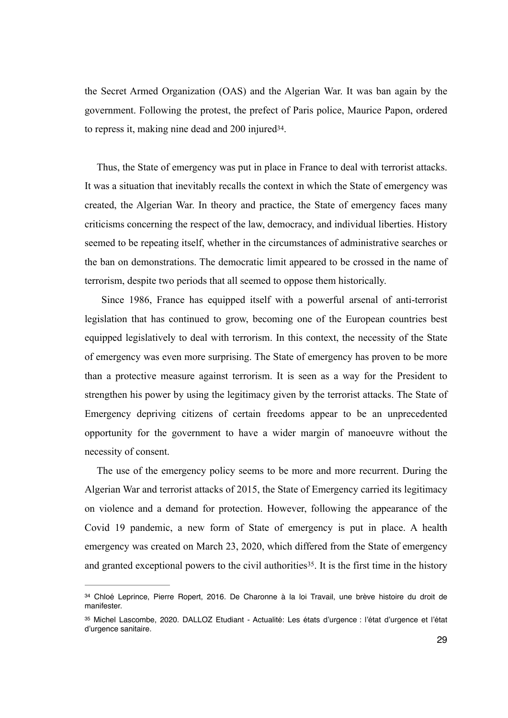<span id="page-28-2"></span>the Secret Armed Organization (OAS) and the Algerian War. It was ban again by the government. Following the protest, the prefect of Paris police, Maurice Papon, ordered to repress it, making nine dead and  $200$  injured  $34$ [.](#page-28-0)

Thus, the State of emergency was put in place in France to deal with terrorist attacks. It was a situation that inevitably recalls the context in which the State of emergency was created, the Algerian War. In theory and practice, the State of emergency faces many criticisms concerning the respect of the law, democracy, and individual liberties. History seemed to be repeating itself, whether in the circumstances of administrative searches or the ban on demonstrations. The democratic limit appeared to be crossed in the name of terrorism, despite two periods that all seemed to oppose them historically.

 Since 1986, France has equipped itself with a powerful arsenal of anti-terrorist legislation that has continued to grow, becoming one of the European countries best equipped legislatively to deal with terrorism. In this context, the necessity of the State of emergency was even more surprising. The State of emergency has proven to be more than a protective measure against terrorism. It is seen as a way for the President to strengthen his power by using the legitimacy given by the terrorist attacks. The State of Emergency depriving citizens of certain freedoms appear to be an unprecedented opportunity for the government to have a wider margin of manoeuvre without the necessity of consent.

The use of the emergency policy seems to be more and more recurrent. During the Algerian War and terrorist attacks of 2015, the State of Emergency carried its legitimacy on violence and a demand for protection. However, following the appearance of the Covid 19 pandemic, a new form of State of emergency is put in place. A health emergency was created on March 23, 2020, which differed from the State of emergency and granted exceptional powers to the civil authorities<sup>[35](#page-28-1)</sup>. It is the first time in the history

<span id="page-28-3"></span><span id="page-28-0"></span><sup>34</sup>Chloé Leprince, Pierre Ropert, 2016. De Charonne à la loi Travail, une brève histoire du droit de manifester.

<span id="page-28-1"></span>[<sup>35</sup>](#page-28-3) Michel Lascombe, 2020. DALLOZ Etudiant - Actualité: Les états d'urgence : l'état d'urgence et l'état d'urgence sanitaire.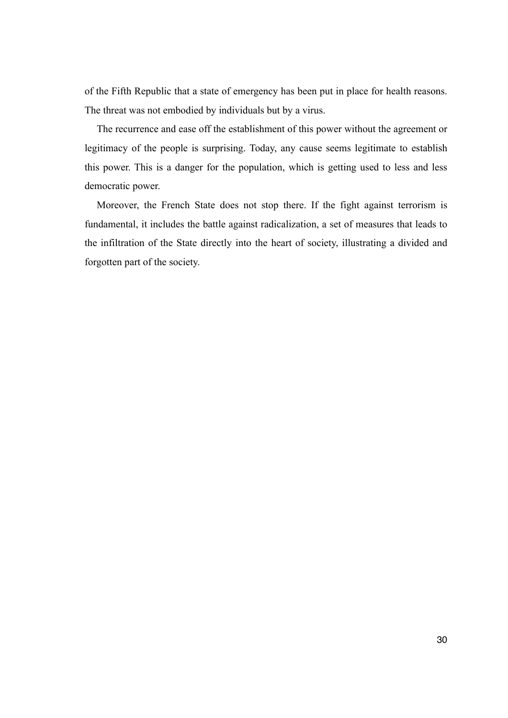of the Fifth Republic that a state of emergency has been put in place for health reasons. The threat was not embodied by individuals but by a virus.

The recurrence and ease off the establishment of this power without the agreement or legitimacy of the people is surprising. Today, any cause seems legitimate to establish this power. This is a danger for the population, which is getting used to less and less democratic power.

Moreover, the French State does not stop there. If the fight against terrorism is fundamental, it includes the battle against radicalization, a set of measures that leads to the infiltration of the State directly into the heart of society, illustrating a divided and forgotten part of the society.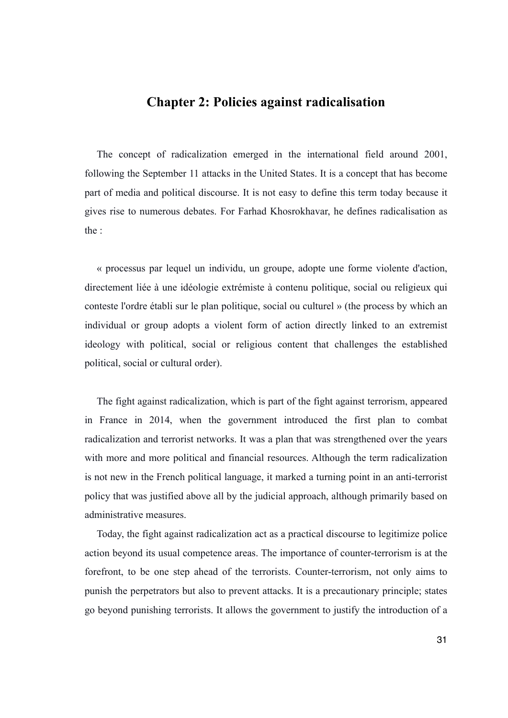## **Chapter 2: Policies against radicalisation**

The concept of radicalization emerged in the international field around 2001, following the September 11 attacks in the United States. It is a concept that has become part of media and political discourse. It is not easy to define this term today because it gives rise to numerous debates. For Farhad Khosrokhavar, he defines radicalisation as the :

« processus par lequel un individu, un groupe, adopte une forme violente d'action, directement liée à une idéologie extrémiste à contenu politique, social ou religieux qui conteste l'ordre établi sur le plan politique, social ou culturel » (the process by which an individual or group adopts a violent form of action directly linked to an extremist ideology with political, social or religious content that challenges the established political, social or cultural order).

The fight against radicalization, which is part of the fight against terrorism, appeared in France in 2014, when the government introduced the first plan to combat radicalization and terrorist networks. It was a plan that was strengthened over the years with more and more political and financial resources. Although the term radicalization is not new in the French political language, it marked a turning point in an anti-terrorist policy that was justified above all by the judicial approach, although primarily based on administrative measures.

Today, the fight against radicalization act as a practical discourse to legitimize police action beyond its usual competence areas. The importance of counter-terrorism is at the forefront, to be one step ahead of the terrorists. Counter-terrorism, not only aims to punish the perpetrators but also to prevent attacks. It is a precautionary principle; states go beyond punishing terrorists. It allows the government to justify the introduction of a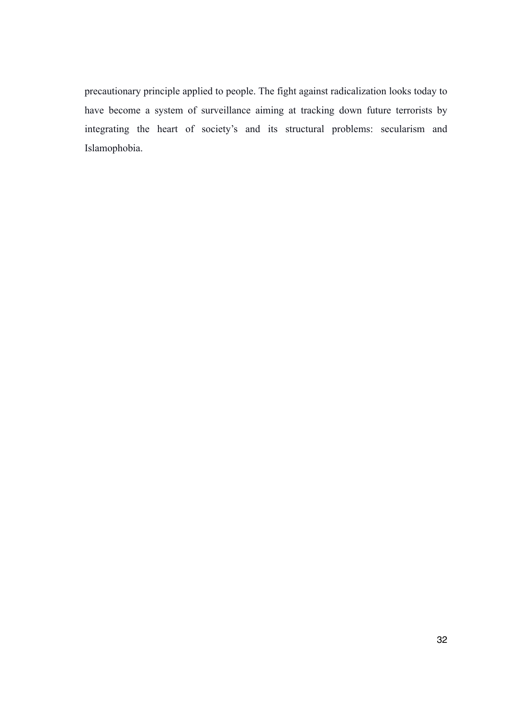precautionary principle applied to people. The fight against radicalization looks today to have become a system of surveillance aiming at tracking down future terrorists by integrating the heart of society's and its structural problems: secularism and Islamophobia.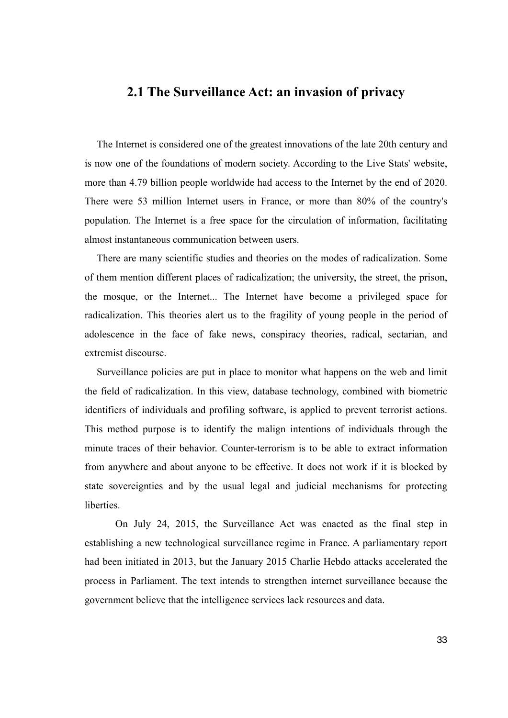#### **2.1 The Surveillance Act: an invasion of privacy**

The Internet is considered one of the greatest innovations of the late 20th century and is now one of the foundations of modern society. According to the Live Stats' website, more than 4.79 billion people worldwide had access to the Internet by the end of 2020. There were 53 million Internet users in France, or more than 80% of the country's population. The Internet is a free space for the circulation of information, facilitating almost instantaneous communication between users.

There are many scientific studies and theories on the modes of radicalization. Some of them mention different places of radicalization; the university, the street, the prison, the mosque, or the Internet... The Internet have become a privileged space for radicalization. This theories alert us to the fragility of young people in the period of adolescence in the face of fake news, conspiracy theories, radical, sectarian, and extremist discourse.

Surveillance policies are put in place to monitor what happens on the web and limit the field of radicalization. In this view, database technology, combined with biometric identifiers of individuals and profiling software, is applied to prevent terrorist actions. This method purpose is to identify the malign intentions of individuals through the minute traces of their behavior. Counter-terrorism is to be able to extract information from anywhere and about anyone to be effective. It does not work if it is blocked by state sovereignties and by the usual legal and judicial mechanisms for protecting liberties.

 On July 24, 2015, the Surveillance Act was enacted as the final step in establishing a new technological surveillance regime in France. A parliamentary report had been initiated in 2013, but the January 2015 Charlie Hebdo attacks accelerated the process in Parliament. The text intends to strengthen internet surveillance because the government believe that the intelligence services lack resources and data.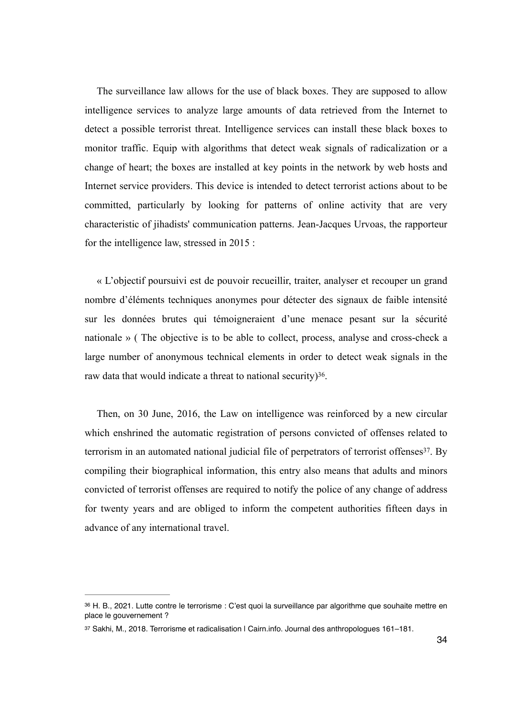The surveillance law allows for the use of black boxes. They are supposed to allow intelligence services to analyze large amounts of data retrieved from the Internet to detect a possible terrorist threat. Intelligence services can install these black boxes to monitor traffic. Equip with algorithms that detect weak signals of radicalization or a change of heart; the boxes are installed at key points in the network by web hosts and Internet service providers. This device is intended to detect terrorist actions about to be committed, particularly by looking for patterns of online activity that are very characteristic of jihadists' communication patterns. Jean-Jacques Urvoas, the rapporteur for the intelligence law, stressed in 2015 :

« L'objectif poursuivi est de pouvoir recueillir, traiter, analyser et recouper un grand nombre d'éléments techniques anonymes pour détecter des signaux de faible intensité sur les données brutes qui témoigneraient d'une menace pesant [sur la sécurité](https://www.20minutes.fr/societe/securite/) [nationale](https://www.20minutes.fr/societe/securite/) » ( The objective is to be able to collect, process, analyse and cross-check a large number of anonymous technical elements in order to detect weak signals in the raw data that would indicate a threat to national security)<sup>36</sup>[.](#page-33-0)

<span id="page-33-3"></span><span id="page-33-2"></span>Then, on 30 June, 2016, the Law on intelligence was reinforced by a new circular which enshrined the automatic registration of persons convicted of offenses related to terrorism in an automated national judicial file of perpetrators of terrorist offenses $37$ . By compiling their biographical information, this entry also means that adults and minors convicted of terrorist offenses are required to notify the police of any change of address for twenty years and are obliged to inform the competent authorities fifteen days in advance of any international travel.

<span id="page-33-0"></span>[<sup>36</sup>](#page-33-2) H. B., 2021. Lutte contre le terrorisme : C'est quoi la surveillance par algorithme que souhaite mettre en place le gouvernement ?

<span id="page-33-1"></span>[<sup>37</sup>](#page-33-3) Sakhi, M., 2018. Terrorisme et radicalisation | Cairn.info. Journal des anthropologues 161-181.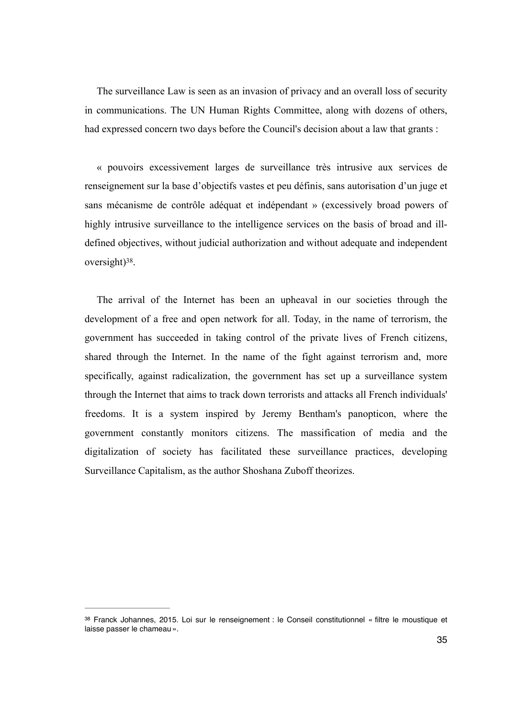The surveillance Law is seen as an invasion of privacy and an overall loss of security in communications. The UN Human Rights Committee, along with dozens of others, had expressed concern two days before the Council's decision about a law that grants :

« pouvoirs excessivement larges de surveillance très intrusive aux services de renseignement sur la base d'objectifs vastes et peu définis, sans autorisation d'un juge et sans mécanisme de contrôle adéquat et indépendant » (excessively broad powers of highly intrusive surveillance to the intelligence services on the basis of broad and illdefined objectives, without judicial authorization and without adequate and independent  $oversight)$ <sup>38</sup>[.](#page-34-0)

<span id="page-34-1"></span>The arrival of the Internet has been an upheaval in our societies through the development of a free and open network for all. Today, in the name of terrorism, the government has succeeded in taking control of the private lives of French citizens, shared through the Internet. In the name of the fight against terrorism and, more specifically, against radicalization, the government has set up a surveillance system through the Internet that aims to track down terrorists and attacks all French individuals' freedoms. It is a system inspired by Jeremy Bentham's panopticon, where the government constantly monitors citizens. The massification of media and the digitalization of society has facilitated these surveillance practices, developing Surveillance Capitalism, as the author Shoshana Zuboff theorizes.

<span id="page-34-0"></span><sup>&</sup>lt;sup>[38](#page-34-1)</sup> Franck Johannes, 2015. Loi sur le renseignement : le Conseil constitutionnel « filtre le moustique et laisse passer le chameau ».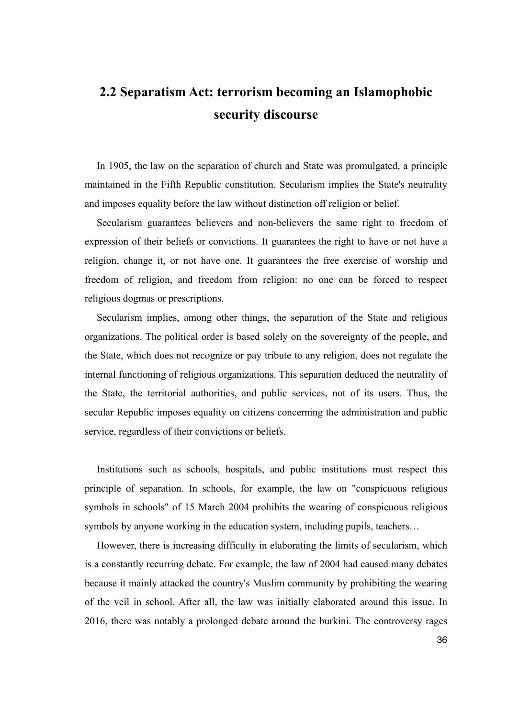# **2.2 Separatism Act: terrorism becoming an Islamophobic security discourse**

In 1905, the law on the separation of church and State was promulgated, a principle maintained in the Fifth Republic constitution. Secularism implies the State's neutrality and imposes equality before the law without distinction off religion or belief.

Secularism guarantees believers and non-believers the same right to freedom of expression of their beliefs or convictions. It guarantees the right to have or not have a religion, change it, or not have one. It guarantees the free exercise of worship and freedom of religion, and freedom from religion: no one can be forced to respect religious dogmas or prescriptions.

Secularism implies, among other things, the separation of the State and religious organizations. The political order is based solely on the sovereignty of the people, and the State, which does not recognize or pay tribute to any religion, does not regulate the internal functioning of religious organizations. This separation deduced the neutrality of the State, the territorial authorities, and public services, not of its users. Thus, the secular Republic imposes equality on citizens concerning the administration and public service, regardless of their convictions or beliefs.

Institutions such as schools, hospitals, and public institutions must respect this principle of separation. In schools, for example, the law on "conspicuous religious symbols in schools" of 15 March 2004 prohibits the wearing of conspicuous religious symbols by anyone working in the education system, including pupils, teachers...

However, there is increasing difficulty in elaborating the limits of secularism, which is a constantly recurring debate. For example, the law of 2004 had caused many debates because it mainly attacked the country's Muslim community by prohibiting the wearing of the veil in school. After all, the law was initially elaborated around this issue. In 2016, there was notably a prolonged debate around the burkini. The controversy rages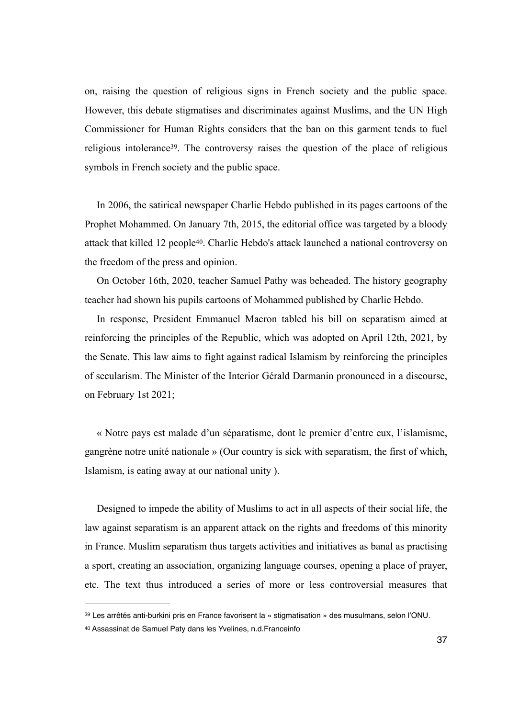<span id="page-36-2"></span>on, raising the question of religious signs in French society and the public space. However, this debate stigmatises and discriminates against Muslims, and the UN High Commissioner for Human Rights considers that the ban on this garment tends to fuel religious intolerance<sup>39</sup>[.](#page-36-0) The controversy raises the question of the place of religious symbols in French society and the public space.

<span id="page-36-3"></span>In 2006, the satirical newspaper Charlie Hebdo published in its pages cartoons of the Prophet Mohammed. On January 7th, 2015, the editorial office was targeted by a bloody attack that killed 12 people<sup>40</sup>[.](#page-36-1) Charlie Hebdo's attack launched a national controversy on the freedom of the press and opinion.

On October 16th, 2020, teacher Samuel Pathy was beheaded. The history geography teacher had shown his pupils cartoons of Mohammed published by Charlie Hebdo.

In response, President Emmanuel Macron tabled his bill on separatism aimed at reinforcing the principles of the Republic, which was adopted on April 12th, 2021, by the Senate. This law aims to fight against radical Islamism by reinforcing the principles of secularism. The Minister of the Interior Gérald Darmanin pronounced in a discourse, on February 1st 2021;

« Notre pays est malade d'un séparatisme, dont le premier d'entre eux, l'islamisme, gangrène notre unité nationale » (Our country is sick with separatism, the first of which, Islamism, is eating away at our national unity ).

Designed to impede the ability of Muslims to act in all aspects of their social life, the law against separatism is an apparent attack on the rights and freedoms of this minority in France. Muslim separatism thus targets activities and initiatives as banal as practising a sport, creating an association, organizing language courses, opening a place of prayer, etc. The text thus introduced a series of more or less controversial measures that

<span id="page-36-0"></span>[<sup>39</sup>](#page-36-2) Les arrêtés anti-burkini pris en France favorisent la « stigmatisation » des musulmans, selon l'ONU.

<span id="page-36-1"></span>[<sup>40</sup>](#page-36-3) Assassinat de Samuel Paty dans les Yvelines, n.d.Franceinfo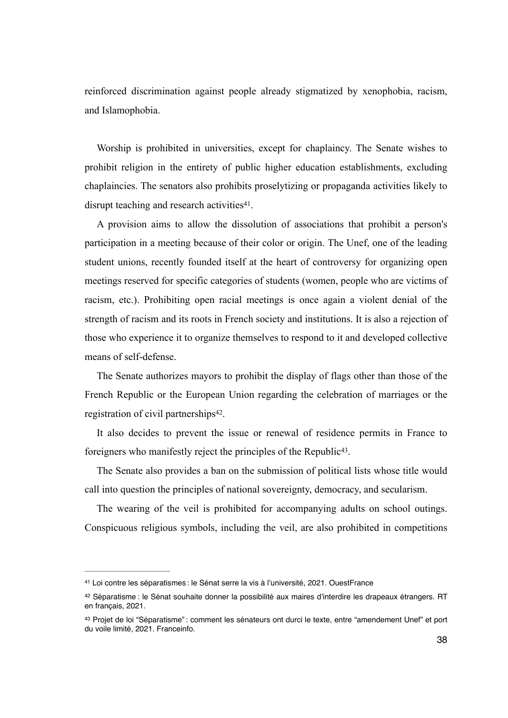reinforced discrimination against people already stigmatized by xenophobia, racism, and Islamophobia.

Worship is prohibited in universities, except for chaplaincy. The Senate wishes to prohibit religion in the entirety of public higher education establishments, excluding chaplaincies. The senators also prohibits proselytizing or propaganda activities likely to disrupt teaching and research activities $41$ [.](#page-37-0)

<span id="page-37-3"></span>A provision aims to allow the dissolution of associations that prohibit a person's participation in a meeting because of their color or origin. The Unef, one of the leading student unions, recently founded itself at the heart of controversy for organizing open meetings reserved for specific categories of students (women, people who are victims of racism, etc.). Prohibiting open racial meetings is once again a violent denial of the strength of racism and its roots in French society and institutions. It is also a rejection of those who experience it to organize themselves to respond to it and developed collective means of self-defense.

The Senate authorizes mayors to prohibit the display of flags other than those of the French Republic or the European Union regarding the celebration of marriages or the registration of civil partnerships<sup>42</sup>[.](#page-37-1)

<span id="page-37-5"></span><span id="page-37-4"></span>It also decides to prevent the issue or renewal of residence permits in France to foreigners who manifestly reject the principles of the Republic<sup>43</sup>[.](#page-37-2)

The Senate also provides a ban on the submission of political lists whose title would call into question the principles of national sovereignty, democracy, and secularism.

The wearing of the veil is prohibited for accompanying adults on school outings. Conspicuous religious symbols, including the veil, are also prohibited in competitions

<span id="page-37-0"></span>[<sup>41</sup>](#page-37-3) Loi contre les séparatismes : le Sénat serre la vis à l'université, 2021. OuestFrance

<span id="page-37-1"></span><sup>&</sup>lt;sup>[42](#page-37-4)</sup> Séparatisme : le Sénat souhaite donner la possibilité aux maires d'interdire les drapeaux étrangers. RT en français, 2021.

<span id="page-37-2"></span><sup>&</sup>lt;sup>[43](#page-37-5)</sup> Projet de loi "Séparatisme" : comment les sénateurs ont durci le texte, entre "amendement Unef" et port du voile limité, 2021. Franceinfo.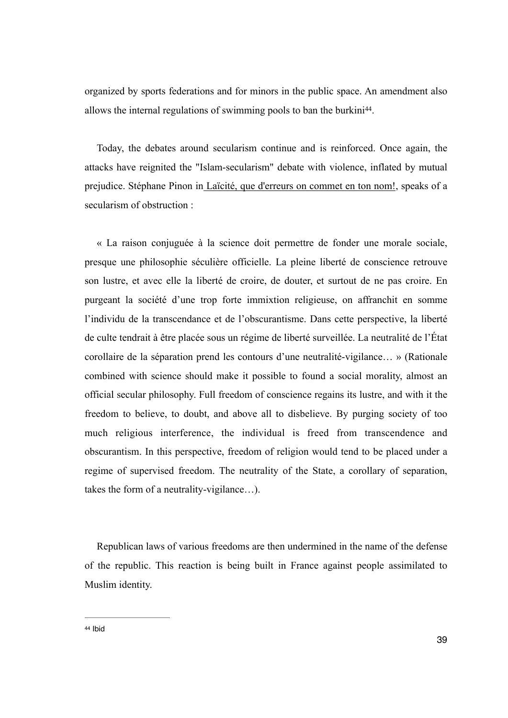<span id="page-38-1"></span>organized by sports federations and for minors in the public space. An amendment also allows the internal regulations of swimming pools to ban the burkini<sup>44</sup>[.](#page-38-0)

Today, the debates around secularism continue and is reinforced. Once again, the attacks have reignited the "Islam-secularism" debate with violence, inflated by mutual prejudice. Stéphane Pinon in Laïcité, que d'erreurs on commet en ton nom!, speaks of a secularism of obstruction :

« La raison conjuguée à la science doit permettre de fonder une morale sociale, presque une philosophie séculière officielle. La pleine liberté de conscience retrouve son lustre, et avec elle la liberté de croire, de douter, et surtout de ne pas croire. En purgeant la société d'une trop forte immixtion religieuse, on affranchit en somme l'individu de la transcendance et de l'obscurantisme. Dans cette perspective, la liberté de culte tendrait à être placée sous un régime de liberté surveillée. La neutralité de l'État corollaire de la séparation prend les contours d'une neutralité-vigilance… » (Rationale combined with science should make it possible to found a social morality, almost an official secular philosophy. Full freedom of conscience regains its lustre, and with it the freedom to believe, to doubt, and above all to disbelieve. By purging society of too much religious interference, the individual is freed from transcendence and obscurantism. In this perspective, freedom of religion would tend to be placed under a regime of supervised freedom. The neutrality of the State, a corollary of separation, takes the form of a neutrality-vigilance…).

<span id="page-38-0"></span>Republican laws of various freedoms are then undermined in the name of the defense of the republic. This reaction is being built in France against people assimilated to Muslim identity.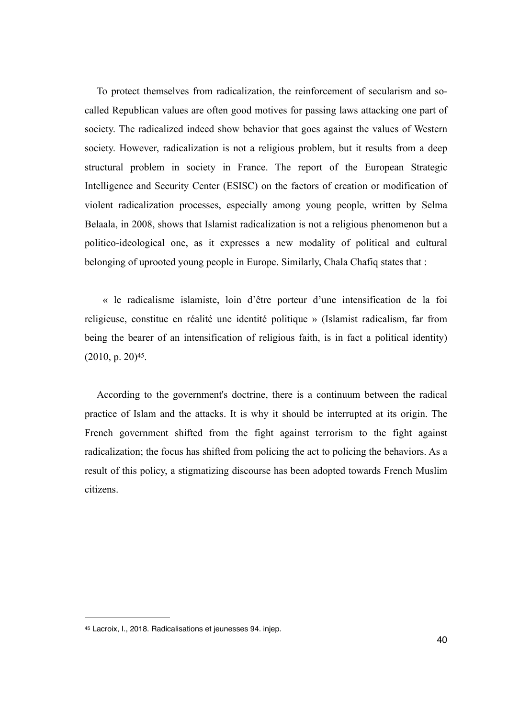To protect themselves from radicalization, the reinforcement of secularism and socalled Republican values are often good motives for passing laws attacking one part of society. The radicalized indeed show behavior that goes against the values of Western society. However, radicalization is not a religious problem, but it results from a deep structural problem in society in France. The report of the [European Strategic](http://www.esisc.org/) [Intelligence and Security Center \(ESISC](http://www.esisc.org/)) on the factors of creation or modification of violent radicalization processes, especially among young people, written by Selma Belaala, in 2008, shows that Islamist radicalization is not a religious phenomenon but a politico-ideological one, as it expresses a new modality of political and cultural belonging of uprooted young people in Europe. Similarly, Chala Chafiq states that :

 « le radicalisme islamiste, loin d'être porteur d'une intensification de la foi religieuse, constitue en réalité une identité politique » (Islamist radicalism, far from being the bearer of an intensification of religious faith, is in fact a political identity)  $(2010, p. 20)^{45}$  $(2010, p. 20)^{45}$  $(2010, p. 20)^{45}$ .

<span id="page-39-1"></span>According to the government's doctrine, there is a continuum between the radical practice of Islam and the attacks. It is why it should be interrupted at its origin. The French government shifted from the fight against terrorism to the fight against radicalization; the focus has shifted from policing the act to policing the behaviors. As a result of this policy, a stigmatizing discourse has been adopted towards French Muslim citizens.

<span id="page-39-0"></span>[<sup>45</sup>](#page-39-1) Lacroix, I., 2018. Radicalisations et jeunesses 94. injep.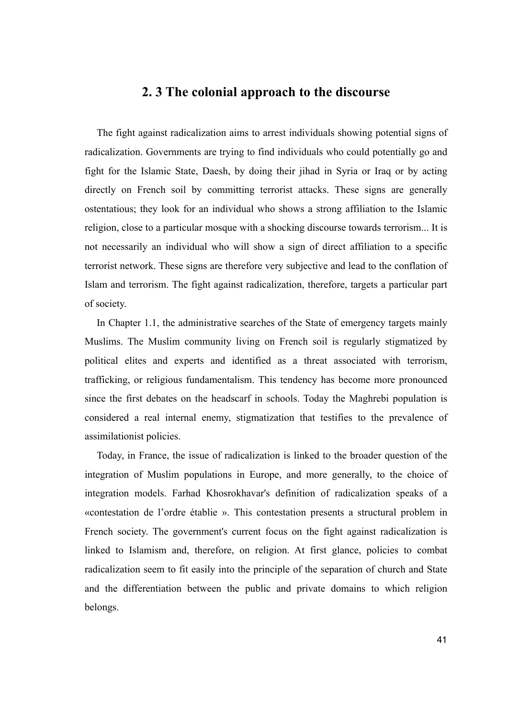## **2. 3 The colonial approach to the discourse**

The fight against radicalization aims to arrest individuals showing potential signs of radicalization. Governments are trying to find individuals who could potentially go and fight for the Islamic State, Daesh, by doing their jihad in Syria or Iraq or by acting directly on French soil by committing terrorist attacks. These signs are generally ostentatious; they look for an individual who shows a strong affiliation to the Islamic religion, close to a particular mosque with a shocking discourse towards terrorism... It is not necessarily an individual who will show a sign of direct affiliation to a specific terrorist network. These signs are therefore very subjective and lead to the conflation of Islam and terrorism. The fight against radicalization, therefore, targets a particular part of society.

In Chapter 1.1, the administrative searches of the State of emergency targets mainly Muslims. The Muslim community living on French soil is regularly stigmatized by political elites and experts and identified as a threat associated with terrorism, trafficking, or religious fundamentalism. This tendency has become more pronounced since the first debates on the headscarf in schools. Today the Maghrebi population is considered a real internal enemy, stigmatization that testifies to the prevalence of assimilationist policies.

Today, in France, the issue of radicalization is linked to the broader question of the integration of Muslim populations in Europe, and more generally, to the choice of integration models. Farhad Khosrokhavar's definition of radicalization speaks of a «contestation de l'ordre établie ». This contestation presents a structural problem in French society. The government's current focus on the fight against radicalization is linked to Islamism and, therefore, on religion. At first glance, policies to combat radicalization seem to fit easily into the principle of the separation of church and State and the differentiation between the public and private domains to which religion belongs.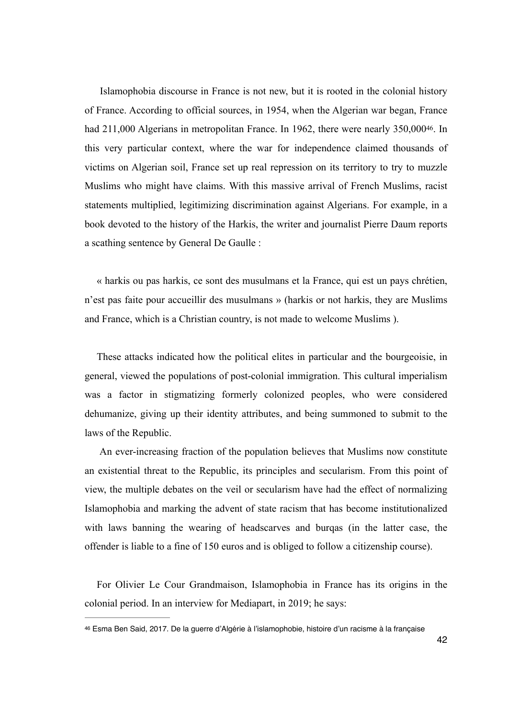<span id="page-41-1"></span> Islamophobia discourse in France is not new, but it is rooted in the colonial history of France. According to official sources, in 1954, when the Algerian war began, France had 211,000 Algerians in metropolitan France[.](#page-41-0) In 1962, there were nearly 350,000<sup>[46](#page-41-0)</sup>. In this very particular context, where the war for independence claimed thousands of victims on Algerian soil, France set up real repression on its territory to try to muzzle Muslims who might have claims. With this massive arrival of French Muslims, racist statements multiplied, legitimizing discrimination against Algerians. For example, in a book devoted to the history of the Harkis, the writer and journalist Pierre Daum reports a scathing sentence by General De Gaulle :

« harkis ou pas harkis, ce sont des musulmans et la France, qui est un pays chrétien, n'est pas faite pour accueillir des musulmans » (harkis or not harkis, they are Muslims and France, which is a Christian country, is not made to welcome Muslims ).

These attacks indicated how the political elites in particular and the bourgeoisie, in general, viewed the populations of post-colonial immigration. This cultural imperialism was a factor in stigmatizing formerly colonized peoples, who were considered dehumanize, giving up their identity attributes, and being summoned to submit to the laws of the Republic.

 An ever-increasing fraction of the population believes that Muslims now constitute an existential threat to the Republic, its principles and secularism. From this point of view, the multiple debates on the veil or secularism have had the effect of normalizing Islamophobia and marking the advent of state racism that has become institutionalized with laws banning the wearing of headscarves and burqas (in the latter case, the offender is liable to a fine of 150 euros and is obliged to follow a citizenship course).

For Olivier Le Cour Grandmaison, Islamophobia in France has its origins in the colonial period. In an interview for Mediapart, in 2019; he says:

<span id="page-41-0"></span>[<sup>46</sup>](#page-41-1) Esma Ben Said, 2017. De la guerre d'Algérie à l'islamophobie, histoire d'un racisme à la française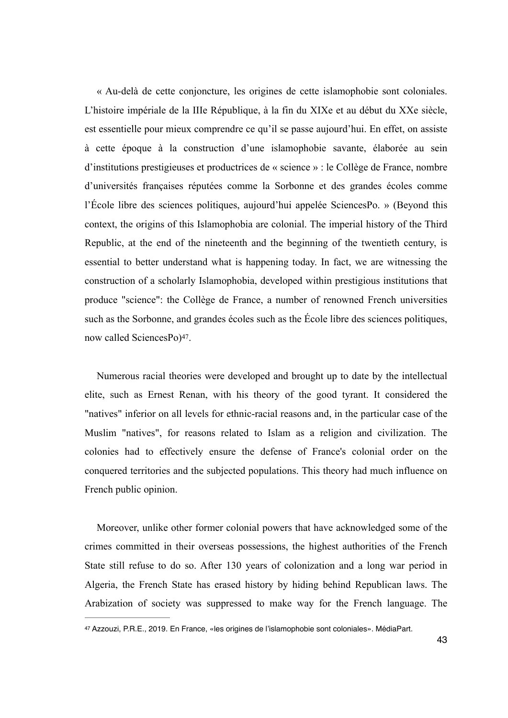« Au-delà de cette conjoncture, les origines de cette islamophobie sont coloniales. L'histoire impériale de la IIIe République, à la fin du XIXe et au début du XXe siècle, est essentielle pour mieux comprendre ce qu'il se passe aujourd'hui. En effet, on assiste à cette époque à la construction d'une islamophobie savante, élaborée au sein d'institutions prestigieuses et productrices de « science » : le Collège de France, nombre d'universités françaises réputées comme la Sorbonne et des grandes écoles comme l'École libre des sciences politiques, aujourd'hui appelée SciencesPo. » (Beyond this context, the origins of this Islamophobia are colonial. The imperial history of the Third Republic, at the end of the nineteenth and the beginning of the twentieth century, is essential to better understand what is happening today. In fact, we are witnessing the construction of a scholarly Islamophobia, developed within prestigious institutions that produce "science": the Collège de France, a number of renowned French universities such as the Sorbonne, and grandes écoles such as the École libre des sciences politiques, now called SciencesPo)<sup>[47](#page-42-0)</sup>.

<span id="page-42-1"></span>Numerous racial theories were developed and brought up to date by the intellectual elite, such as Ernest Renan, with his theory of the good tyrant. It considered the "natives" inferior on all levels for ethnic-racial reasons and, in the particular case of the Muslim "natives", for reasons related to Islam as a religion and civilization. The colonies had to effectively ensure the defense of France's colonial order on the conquered territories and the subjected populations. This theory had much influence on French public opinion.

Moreover, unlike other former colonial powers that have acknowledged some of the crimes committed in their overseas possessions, the highest authorities of the French State still refuse to do so. After 130 years of colonization and a long war period in Algeria, the French State has erased history by hiding behind Republican laws. The Arabization of society was suppressed to make way for the French language. The

<span id="page-42-0"></span>[<sup>47</sup>](#page-42-1) Azzouzi, P.R.E., 2019. En France, «les origines de l'islamophobie sont coloniales». MédiaPart.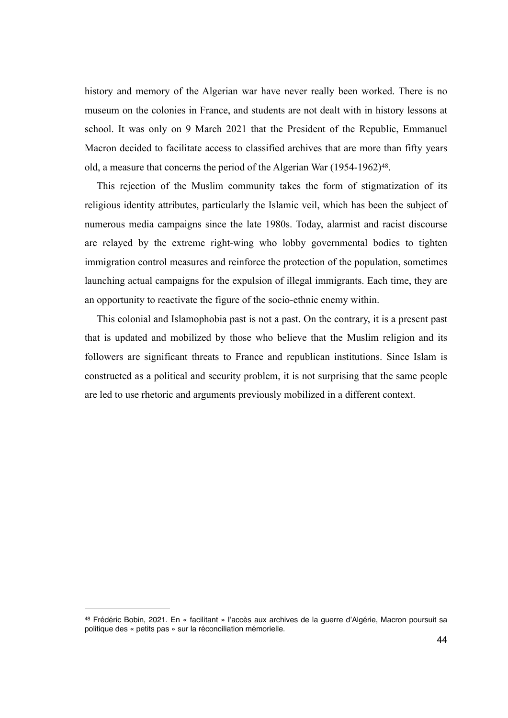history and memory of the Algerian war have never really been worked. There is no museum on the colonies in France, and students are not dealt with in history lessons at school. It was only on 9 March 2021 that the President of the Republic, Emmanuel Macron decided to facilitate access to classified archives that are more than fifty years old, a measure that concerns the period of the Algerian War  $(1954-1962)^{48}$  $(1954-1962)^{48}$  $(1954-1962)^{48}$ .

<span id="page-43-1"></span>This rejection of the Muslim community takes the form of stigmatization of its religious identity attributes, particularly the Islamic veil, which has been the subject of numerous media campaigns since the late 1980s. Today, alarmist and racist discourse are relayed by the extreme right-wing who lobby governmental bodies to tighten immigration control measures and reinforce the protection of the population, sometimes launching actual campaigns for the expulsion of illegal immigrants. Each time, they are an opportunity to reactivate the figure of the socio-ethnic enemy within.

This colonial and Islamophobia past is not a past. On the contrary, it is a present past that is updated and mobilized by those who believe that the Muslim religion and its followers are significant threats to France and republican institutions. Since Islam is constructed as a political and security problem, it is not surprising that the same people are led to use rhetoric and arguments previously mobilized in a different context.

<span id="page-43-0"></span>[<sup>48</sup>](#page-43-1) Frédéric Bobin, 2021. En « facilitant » l'accès aux archives de la guerre d'Algérie, Macron poursuit sa politique des « petits pas » sur la réconciliation mémorielle.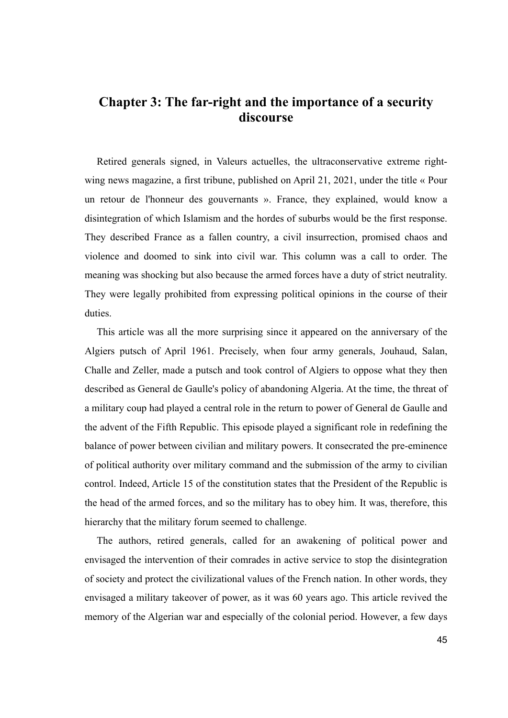## **Chapter 3: The far-right and the importance of a security discourse**

Retired generals signed, in Valeurs actuelles, the ultraconservative extreme rightwing news magazine, a first tribune, published on April 21, 2021, under the title « Pour un retour de l'honneur des gouvernants ». France, they explained, would know a disintegration of which Islamism and the hordes of suburbs would be the first response. They described France as a fallen country, a civil insurrection, promised chaos and violence and doomed to sink into civil war. This column was a call to order. The meaning was shocking but also because the armed forces have a duty of strict neutrality. They were legally prohibited from expressing political opinions in the course of their duties.

This article was all the more surprising since it appeared on the anniversary of the Algiers putsch of April 1961. Precisely, when four army generals, Jouhaud, Salan, Challe and Zeller, made a putsch and took control of Algiers to oppose what they then described as General de Gaulle's policy of abandoning Algeria. At the time, the threat of a military coup had played a central role in the return to power of General de Gaulle and the advent of the Fifth Republic. This episode played a significant role in redefining the balance of power between civilian and military powers. It consecrated the pre-eminence of political authority over military command and the submission of the army to civilian control. Indeed, Article 15 of the constitution states that the President of the Republic is the head of the armed forces, and so the military has to obey him. It was, therefore, this hierarchy that the military forum seemed to challenge.

The authors, retired generals, called for an awakening of political power and envisaged the intervention of their comrades in active service to stop the disintegration of society and protect the civilizational values of the French nation. In other words, they envisaged a military takeover of power, as it was 60 years ago. This article revived the memory of the Algerian war and especially of the colonial period. However, a few days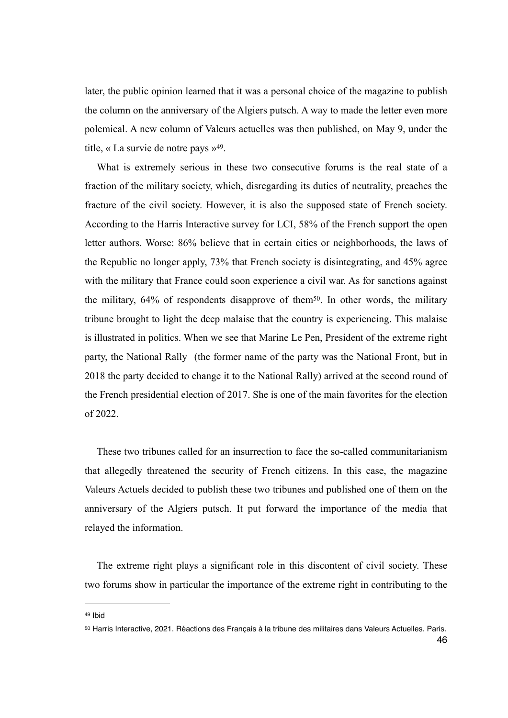later, the public opinion learned that it was a personal choice of the magazine to publish the column on the anniversary of the Algiers putsch. A way to made the letter even more polemical. A new column of Valeurs actuelles was then published, on May 9, under the title, « La survie de notre pays  $v^{49}$  $v^{49}$  $v^{49}$ [.](#page-45-0)

<span id="page-45-3"></span><span id="page-45-2"></span>What is extremely serious in these two consecutive forums is the real state of a fraction of the military society, which, disregarding its duties of neutrality, preaches the fracture of the civil society. However, it is also the supposed state of French society. According to the Harris Interactive survey for LCI, 58% of the French support the open letter authors. Worse: 86% believe that in certain cities or neighborhoods, the laws of the Republic no longer apply, 73% that French society is disintegrating, and 45% agree with the military that France could soon experience a civil war. As for sanctions against the military,  $64\%$  of respondents disapprove of them<sup>[50](#page-45-1)</sup>. In other words, the military tribune brought to light the deep malaise that the country is experiencing. This malaise is illustrated in politics. When we see that Marine Le Pen, President of the extreme right party, the National Rally (the former name of the party was the National Front, but in 2018 the party decided to change it to the National Rally) arrived at the second round of the French presidential election of 2017. She is one of the main favorites for the election of 2022.

These two tribunes called for an insurrection to face the so-called communitarianism that allegedly threatened the security of French citizens. In this case, the magazine Valeurs Actuels decided to publish these two tribunes and published one of them on the anniversary of the Algiers putsch. It put forward the importance of the media that relayed the information.

The extreme right plays a significant role in this discontent of civil society. These two forums show in particular the importance of the extreme right in contributing to the

<span id="page-45-0"></span>[<sup>49</sup>](#page-45-2) Ibid

<span id="page-45-1"></span>[<sup>50</sup>](#page-45-3) Harris Interactive, 2021. Réactions des Français à la tribune des militaires dans Valeurs Actuelles. Paris.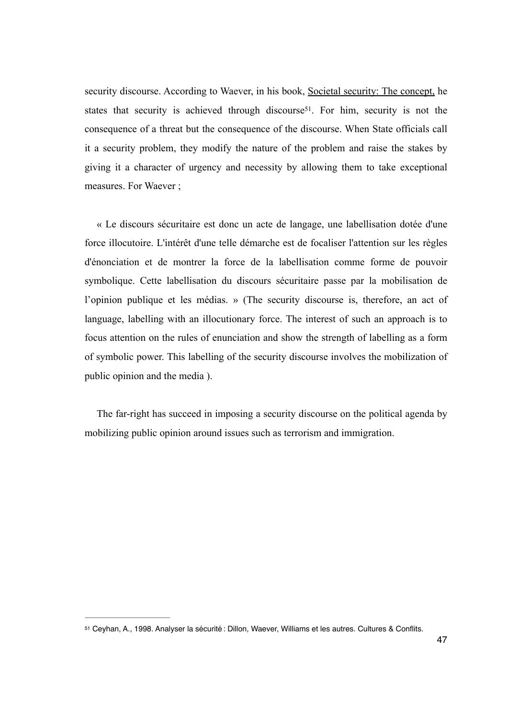<span id="page-46-1"></span>security discourse. According to Waever, in his book, Societal security: The concept, he states that security is achieved through discourse<sup>[51](#page-46-0)</sup>. For him, security is not the consequence of a threat but the consequence of the discourse. When State officials call it a security problem, they modify the nature of the problem and raise the stakes by giving it a character of urgency and necessity by allowing them to take exceptional measures. For Waever ;

« Le discours sécuritaire est donc un acte de langage, une labellisation dotée d'une force illocutoire. L'intérêt d'une telle démarche est de focaliser l'attention sur les règles d'énonciation et de montrer la force de la labellisation comme forme de pouvoir symbolique. Cette labellisation du discours sécuritaire passe par la mobilisation de l'opinion publique et les médias. » (The security discourse is, therefore, an act of language, labelling with an illocutionary force. The interest of such an approach is to focus attention on the rules of enunciation and show the strength of labelling as a form of symbolic power. This labelling of the security discourse involves the mobilization of public opinion and the media ).

The far-right has succeed in imposing a security discourse on the political agenda by mobilizing public opinion around issues such as terrorism and immigration.

<span id="page-46-0"></span>[<sup>51</sup>](#page-46-1) Ceyhan, A., 1998. Analyser la sécurité : Dillon, Waever, Williams et les autres. Cultures & Conflits.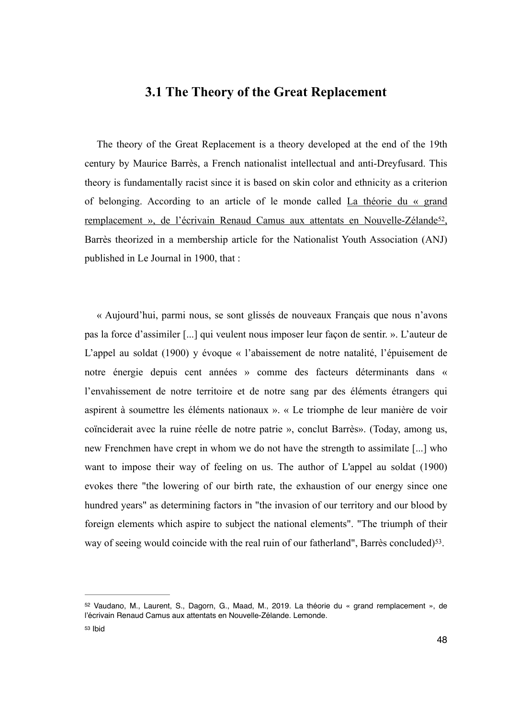### <span id="page-47-2"></span>**3.1 The Theory of the Great Replacement**

The theory of the Great Replacement is a theory developed at the end of the 19th century by Maurice Barrès, a French nationalist intellectual and anti-Dreyfusard. This theory is fundamentally racist since it is based on skin color and ethnicity as a criterion of belonging. According to an article of le monde called La théorie du « grand remplacement », de l'écrivain Renaud Camus aux attentats en Nouvelle-Zélande<sup>[52](#page-47-0)</sup>, Barrès theorized in a membership article for the Nationalist Youth Association (ANJ) published in Le Journal in 1900, that :

« Aujourd'hui, parmi nous, se sont glissés de nouveaux Français que nous n'avons pas la force d'assimiler [...] qui veulent nous imposer leur façon de sentir. ». L'auteur de L'appel au soldat (1900) y évoque « l'abaissement de notre natalité, l'épuisement de notre énergie depuis cent années » comme des facteurs déterminants dans « l'envahissement de notre territoire et de notre sang par des éléments étrangers qui aspirent à soumettre les éléments nationaux ». « Le triomphe de leur manière de voir coïnciderait avec la ruine réelle de notre patrie », conclut Barrès». (Today, among us, new Frenchmen have crept in whom we do not have the strength to assimilate [...] who want to impose their way of feeling on us. The author of L'appel au soldat (1900) evokes there "the lowering of our birth rate, the exhaustion of our energy since one hundred years" as determining factors in "the invasion of our territory and our blood by foreign elements which aspire to subject the national elements". "The triumph of their way of seeing would coincide with the real ruin of our fatherland", Barrès concluded)<sup>53</sup>[.](#page-47-1)

<span id="page-47-3"></span><span id="page-47-1"></span><span id="page-47-0"></span>[<sup>52</sup>](#page-47-2) Vaudano, M., Laurent, S., Dagorn, G., Maad, M., 2019. La théorie du « grand remplacement », de l'écrivain Renaud Camus aux attentats en Nouvelle-Zélande. Lemonde. [53](#page-47-3) Ibid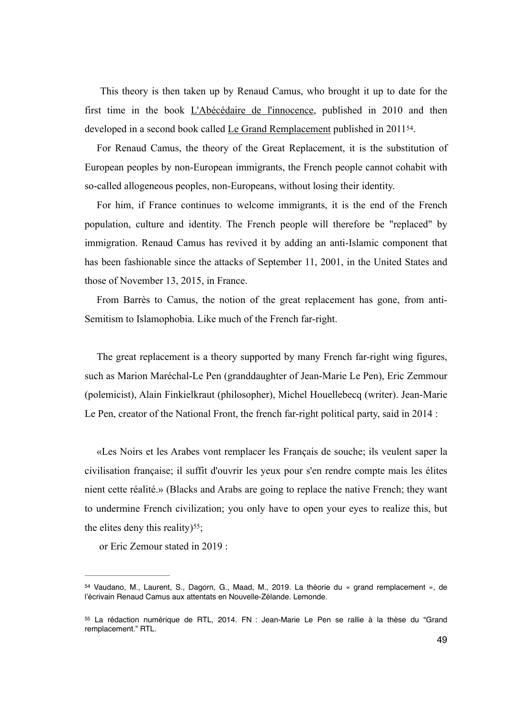This theory is then taken up by Renaud Camus, who brought it up to date for the first time in the book L'Abécédaire de l'innocence, published in 2010 and then developed in a second book called Le Grand Remplacement published in 2011<sup>[54](#page-48-0)</sup>.

<span id="page-48-2"></span>For Renaud Camus, the theory of the Great Replacement, it is the substitution of European peoples by non-European immigrants, the French people cannot cohabit with so-called allogeneous peoples, non-Europeans, without losing their identity.

For him, if France continues to welcome immigrants, it is the end of the French population, culture and identity. The French people will therefore be "replaced" by immigration. Renaud Camus has revived it by adding an anti-Islamic component that has been fashionable since the attacks of September 11, 2001, in the United States and those of November 13, 2015, in France.

From Barrès to Camus, the notion of the great replacement has gone, from anti-Semitism to Islamophobia. Like much of the French far-right.

The great replacement is a theory supported by many French far-right wing figures, such as Marion Maréchal-Le Pen (granddaughter of Jean-Marie Le Pen), Eric Zemmour (polemicist), Alain Finkielkraut (philosopher), Michel Houellebecq (writer). Jean-Marie Le Pen, creator of the National Front, the french far-right political party, said in 2014 :

«Les Noirs et les Arabes vont remplacer les Français de souche; ils veulent saper la civilisation française; il suffit d'ouvrir les yeux pour s'en rendre compte mais les élites nient cette réalité.» (Blacks and Arabs are going to replace the native French; they want to undermine French civilization; you only have to open your eyes to realize this, but the elites deny this reality) $55$ ;

<span id="page-48-3"></span>or Eric Zemour stated in 2019 :

<span id="page-48-0"></span>[<sup>54</sup>](#page-48-2) Vaudano, M., Laurent, S., Dagorn, G., Maad, M., 2019. La théorie du « grand remplacement », de l'écrivain Renaud Camus aux attentats en Nouvelle-Zélande. Lemonde.

<span id="page-48-1"></span>[<sup>55</sup>](#page-48-3) La rédaction numérique de RTL, 2014. FN : Jean-Marie Le Pen se rallie à la thèse du "Grand remplacement." RTL.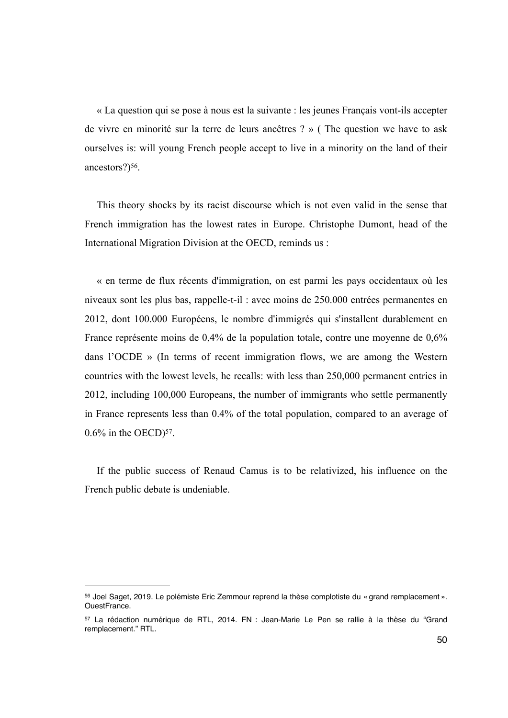« La question qui se pose à nous est la suivante : les jeunes Français vont-ils accepter de vivre en minorité sur la terre de leurs ancêtres ? » ( The question we have to ask ourselves is: will young French people accept to live in a minority on the land of their ancestors? $)$ <sup>[56](#page-49-0)</sup>.

<span id="page-49-2"></span>This theory shocks by its racist discourse which is not even valid in the sense that French immigration has the lowest rates in Europe. Christophe Dumont, head of the International Migration Division at the OECD, reminds us :

« en terme de flux récents d'immigration, on est parmi les pays occidentaux où les niveaux sont les plus bas, rappelle-t-il : avec moins de 250.000 entrées permanentes en 2012, dont 100.000 Européens, le nombre d'immigrés qui s'installent durablement en France représente moins de 0,4% de la population totale, contre une moyenne de 0,6% dans l'OCDE » (In terms of recent immigration flows, we are among the Western countries with the lowest levels, he recalls: with less than 250,000 permanent entries in 2012, including 100,000 Europeans, the number of immigrants who settle permanently in France represents less than 0.4% of the total population, compared to an average of  $0.6\%$  $0.6\%$  $0.6\%$  in the OECD)<sup>[57](#page-49-1)</sup>.

<span id="page-49-3"></span>If the public success of Renaud Camus is to be relativized, his influence on the French public debate is undeniable.

<span id="page-49-0"></span>[<sup>56</sup>](#page-49-2) Joel Saget, 2019. Le polémiste Eric Zemmour reprend la thèse complotiste du « grand remplacement ». OuestFrance.

<span id="page-49-1"></span>[<sup>57</sup>](#page-49-3) La rédaction numérique de RTL, 2014. FN : Jean-Marie Le Pen se rallie à la thèse du "Grand remplacement." RTL.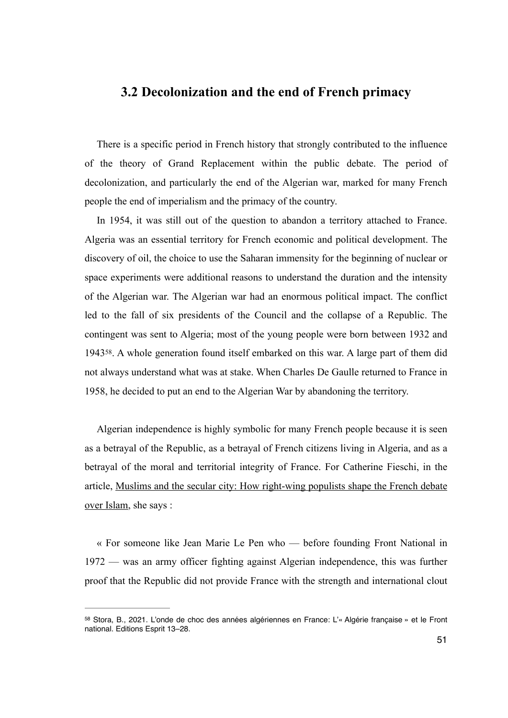#### **3.2 Decolonization and the end of French primacy**

There is a specific period in French history that strongly contributed to the influence of the theory of Grand Replacement within the public debate. The period of decolonization, and particularly the end of the Algerian war, marked for many French people the end of imperialism and the primacy of the country.

In 1954, it was still out of the question to abandon a territory attached to France. Algeria was an essential territory for French economic and political development. The discovery of oil, the choice to use the Saharan immensity for the beginning of nuclear or space experiments were additional reasons to understand the duration and the intensity of the Algerian war. The Algerian war had an enormous political impact. The conflict led to the fall of six presidents of the Council and the collapse of a Republic. The contingent was sent to Algeria; most of the young people were born between 1932 and 1943<sup>[58](#page-50-0)</sup>. A whole generation found itself embarked on this war. A large part of them did not always understand what was at stake. When Charles De Gaulle returned to France in 1958, he decided to put an end to the Algerian War by abandoning the territory.

<span id="page-50-1"></span>Algerian independence is highly symbolic for many French people because it is seen as a betrayal of the Republic, as a betrayal of French citizens living in Algeria, and as a betrayal of the moral and territorial integrity of France. For Catherine Fieschi, in the article, Muslims and the secular city: How right-wing populists shape the French debate over Islam, she says :

« For someone like Jean Marie Le Pen who — before founding Front National in 1972 — was an army officer fighting against Algerian independence, this was further proof that the Republic did not provide France with the strength and international clout

<span id="page-50-0"></span>[<sup>58</sup>](#page-50-1) Stora, B., 2021. L'onde de choc des années algériennes en France: L'« Algérie française » et le Front national. Editions Esprit 13–28.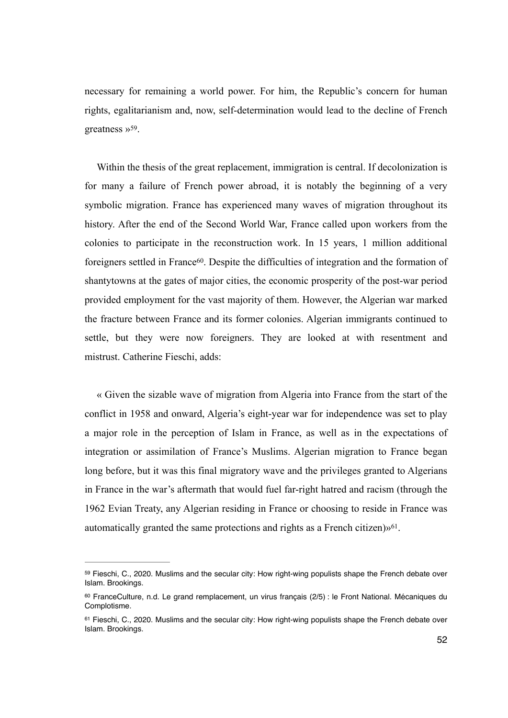<span id="page-51-3"></span>necessary for remaining a world power. For him, the Republic's concern for human rights, egalitarianism and, now, self-determination would lead to the decline of French greatness  $v^{59}$  $v^{59}$  $v^{59}$ [.](#page-51-0)

<span id="page-51-4"></span>Within the thesis of the great replacement, immigration is central. If decolonization is for many a failure of French power abroad, it is notably the beginning of a very symbolic migration. France has experienced many waves of migration throughout its history. After the end of the Second World War, France called upon workers from the colonies to participate in the reconstruction work. In 15 years, 1 million additional foreigners settled in France<sup>60</sup>[.](#page-51-1) Despite the difficulties of integration and the formation of shantytowns at the gates of major cities, the economic prosperity of the post-war period provided employment for the vast majority of them. However, the Algerian war marked the fracture between France and its former colonies. Algerian immigrants continued to settle, but they were now foreigners. They are looked at with resentment and mistrust. Catherine Fieschi, adds:

« Given the sizable wave of migration from Algeria into France from the start of the conflict in 1958 and onward, Algeria's eight-year war for independence was set to play a major role in the perception of Islam in France, as well as in the expectations of integration or assimilation of France's Muslims. Algerian migration to France began long before, but it was this final migratory wave and the privileges granted to Algerians in France in the war's aftermath that would fuel far-right hatred and racism (through the 1962 Evian Treaty, any Algerian residing in France or choosing to reside in France was automatically granted the same protections and rights as a French citizen) $\mathcal{W}^{61}$  $\mathcal{W}^{61}$  $\mathcal{W}^{61}$ .

<span id="page-51-5"></span><span id="page-51-0"></span><sup>&</sup>lt;sup>59</sup>Fieschi, C., 2020. Muslims and the secular city: How right-wing populists shape the French debate over Islam. Brookings.

<span id="page-51-1"></span><sup>&</sup>lt;sup>[60](#page-51-4)</sup> FranceCulture, n.d. Le grand remplacement, un virus francais (2/5) : le Front National. Mécaniques du Complotisme.

<span id="page-51-2"></span><sup>61</sup>Fieschi, C., 2020. Muslims and the secular city: How right-wing populists shape the French debate over Islam. Brookings.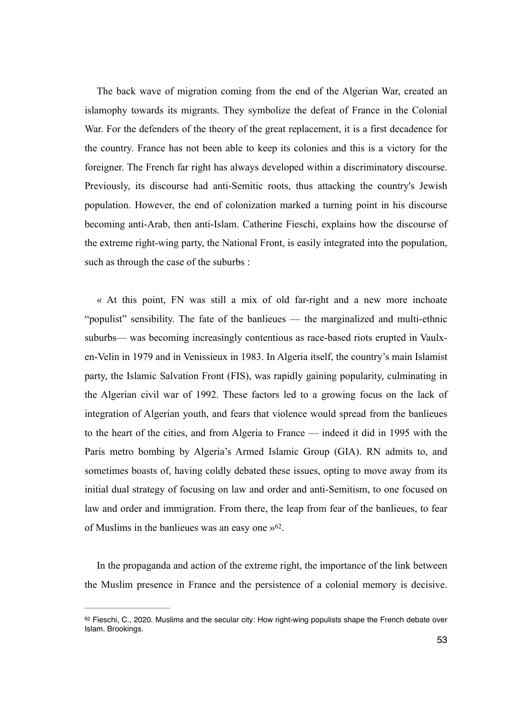The back wave of migration coming from the end of the Algerian War, created an islamophy towards its migrants. They symbolize the defeat of France in the Colonial War. For the defenders of the theory of the great replacement, it is a first decadence for the country. France has not been able to keep its colonies and this is a victory for the foreigner. The French far right has always developed within a discriminatory discourse. Previously, its discourse had anti-Semitic roots, thus attacking the country's Jewish population. However, the end of colonization marked a turning point in his discourse becoming anti-Arab, then anti-Islam. Catherine Fieschi, explains how the discourse of the extreme right-wing party, the National Front, is easily integrated into the population, such as through the case of the suburbs :

« At this point, FN was still a mix of old far-right and a new more inchoate "populist" sensibility. The fate of the banlieues — the marginalized and multi-ethnic suburbs— was becoming increasingly contentious as race-based riots erupted in Vaulxen-Velin in 1979 and in Venissieux in 1983. In Algeria itself, the country's main Islamist party, the Islamic Salvation Front (FIS), was rapidly gaining popularity, culminating in the Algerian civil war of 1992. These factors led to a growing focus on the lack of integration of Algerian youth, and fears that violence would spread from the banlieues to the heart of the cities, and from Algeria to France — indeed it did in 1995 with the Paris metro bombing by Algeria's Armed Islamic Group (GIA). RN admits to, and sometimes boasts of, having coldly debated these issues, opting to move away from its initial dual strategy of focusing on law and order and anti-Semitism, to one focused on law and order and immigration. From there, the leap from fear of the banlieues, to fear of Muslims in the banlieues was an easy one  $\mathcal{P}^{62}$  $\mathcal{P}^{62}$  $\mathcal{P}^{62}$ .

<span id="page-52-1"></span>In the propaganda and action of the extreme right, the importance of the link between the Muslim presence in France and the persistence of a colonial memory is decisive.

<span id="page-52-0"></span> $62$ Fieschi, C., 2020. Muslims and the secular city: How right-wing populists shape the French debate over Islam. Brookings.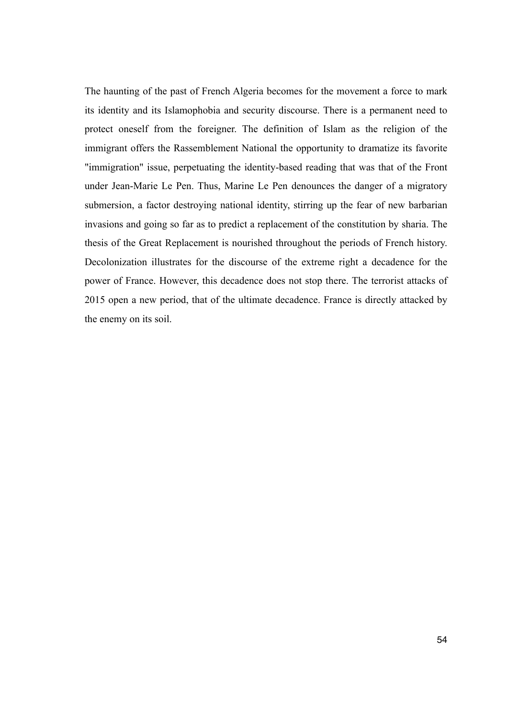The haunting of the past of French Algeria becomes for the movement a force to mark its identity and its Islamophobia and security discourse. There is a permanent need to protect oneself from the foreigner. The definition of Islam as the religion of the immigrant offers the Rassemblement National the opportunity to dramatize its favorite "immigration" issue, perpetuating the identity-based reading that was that of the Front under Jean-Marie Le Pen. Thus, Marine Le Pen denounces the danger of a migratory submersion, a factor destroying national identity, stirring up the fear of new barbarian invasions and going so far as to predict a replacement of the constitution by sharia. The thesis of the Great Replacement is nourished throughout the periods of French history. Decolonization illustrates for the discourse of the extreme right a decadence for the power of France. However, this decadence does not stop there. The terrorist attacks of 2015 open a new period, that of the ultimate decadence. France is directly attacked by the enemy on its soil.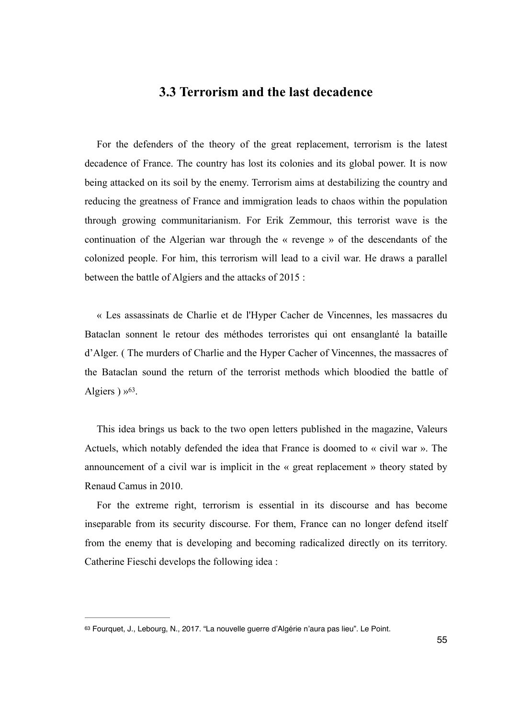### **3.3 Terrorism and the last decadence**

For the defenders of the theory of the great replacement, terrorism is the latest decadence of France. The country has lost its colonies and its global power. It is now being attacked on its soil by the enemy. Terrorism aims at destabilizing the country and reducing the greatness of France and immigration leads to chaos within the population through growing communitarianism. For Erik Zemmour, this terrorist wave is the continuation of the Algerian war through the « revenge » of the descendants of the colonized people. For him, this terrorism will lead to a civil war. He draws a parallel between the battle of Algiers and the attacks of 2015 :

« Les assassinats de Charlie et de l'Hyper Cacher de Vincennes, les massacres du Bataclan sonnent le retour des méthodes terroristes qui ont ensanglanté la bataille d'Alger. ( The murders of Charlie and the Hyper Cacher of Vincennes, the massacres of the Bataclan sound the return of the terrorist methods which bloodied the battle of Algiers  $) \times 63$  $) \times 63$ [.](#page-54-0)

<span id="page-54-1"></span>This idea brings us back to the two open letters published in the magazine, Valeurs Actuels, which notably defended the idea that France is doomed to « civil war ». The announcement of a civil war is implicit in the « great replacement » theory stated by Renaud Camus in 2010.

For the extreme right, terrorism is essential in its discourse and has become inseparable from its security discourse. For them, France can no longer defend itself from the enemy that is developing and becoming radicalized directly on its territory. Catherine Fieschi develops the following idea :

<span id="page-54-0"></span>[<sup>63</sup>](#page-54-1) Fourquet, J., Lebourg, N., 2017. "La nouvelle guerre d'Algérie n'aura pas lieu". Le Point.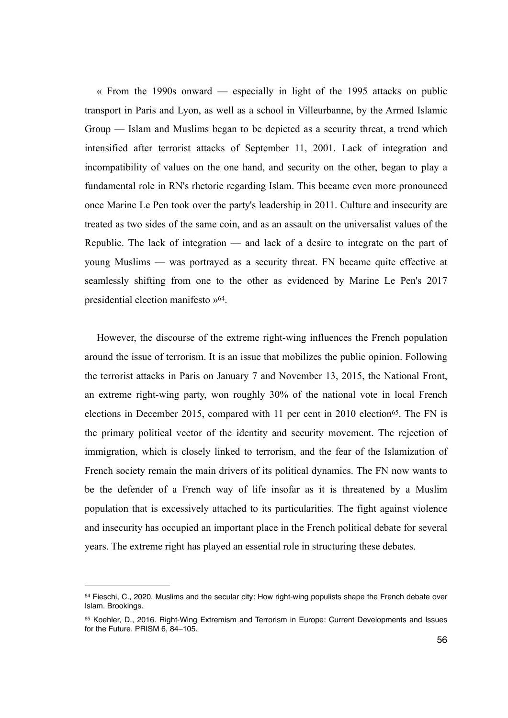« From the 1990s onward — especially in light of the 1995 attacks on public transport in Paris and Lyon, as well as a school in Villeurbanne, by the Armed Islamic Group — Islam and Muslims began to be depicted as a security threat, a trend which intensified after terrorist attacks of September 11, 2001. Lack of integration and incompatibility of values on the one hand, and security on the other, began to play a fundamental role in RN's rhetoric regarding Islam. This became even more pronounced once Marine Le Pen took over the party's leadership in 2011. Culture and insecurity are treated as two sides of the same coin, and as an assault on the universalist values of the Republic. The lack of integration — and lack of a desire to integrate on the part of young Muslims — was portrayed as a security threat. FN became quite effective at seamlessly shifting from one to the other as evidenced by Marine Le Pen's 2017 presidential election manifesto »<sup>64</sup>[.](#page-55-0)

<span id="page-55-3"></span><span id="page-55-2"></span>However, the discourse of the extreme right-wing influences the French population around the issue of terrorism. It is an issue that mobilizes the public opinion. Following the terrorist attacks in Paris on January 7 and November 13, 2015, the National Front, an extreme right-wing party, won roughly 30% of the national vote in local French elections in December 2015, compared with 11 per cent in 2010 election<sup>[65](#page-55-1)</sup>. The FN is the primary political vector of the identity and security movement. The rejection of immigration, which is closely linked to terrorism, and the fear of the Islamization of French society remain the main drivers of its political dynamics. The FN now wants to be the defender of a French way of life insofar as it is threatened by a Muslim population that is excessively attached to its particularities. The fight against violence and insecurity has occupied an important place in the French political debate for several years. The extreme right has played an essential role in structuring these debates.

<span id="page-55-0"></span> $64$ Fieschi, C., 2020. Muslims and the secular city: How right-wing populists shape the French debate over Islam. Brookings.

<span id="page-55-1"></span><sup>65</sup>Koehler, D., 2016. Right-Wing Extremism and Terrorism in Europe: Current Developments and Issues for the Future. PRISM 6, 84–105.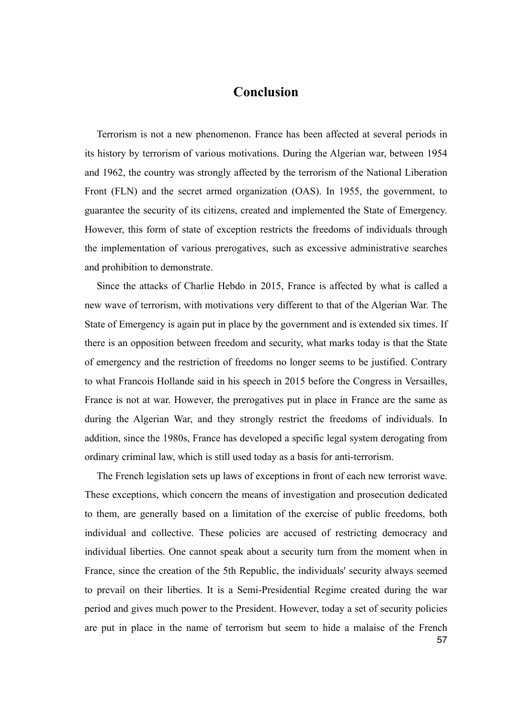## **Conclusion**

Terrorism is not a new phenomenon. France has been affected at several periods in its history by terrorism of various motivations. During the Algerian war, between 1954 and 1962, the country was strongly affected by the terrorism of the National Liberation Front (FLN) and the secret armed organization (OAS). In 1955, the government, to guarantee the security of its citizens, created and implemented the State of Emergency. However, this form of state of exception restricts the freedoms of individuals through the implementation of various prerogatives, such as excessive administrative searches and prohibition to demonstrate.

Since the attacks of Charlie Hebdo in 2015, France is affected by what is called a new wave of terrorism, with motivations very different to that of the Algerian War. The State of Emergency is again put in place by the government and is extended six times. If there is an opposition between freedom and security, what marks today is that the State of emergency and the restriction of freedoms no longer seems to be justified. Contrary to what Francois Hollande said in his speech in 2015 before the Congress in Versailles, France is not at war. However, the prerogatives put in place in France are the same as during the Algerian War, and they strongly restrict the freedoms of individuals. In addition, since the 1980s, France has developed a specific legal system derogating from ordinary criminal law, which is still used today as a basis for anti-terrorism.

The French legislation sets up laws of exceptions in front of each new terrorist wave. These exceptions, which concern the means of investigation and prosecution dedicated to them, are generally based on a limitation of the exercise of public freedoms, both individual and collective. These policies are accused of restricting democracy and individual liberties. One cannot speak about a security turn from the moment when in France, since the creation of the 5th Republic, the individuals' security always seemed to prevail on their liberties. It is a Semi-Presidential Regime created during the war period and gives much power to the President. However, today a set of security policies are put in place in the name of terrorism but seem to hide a malaise of the French 57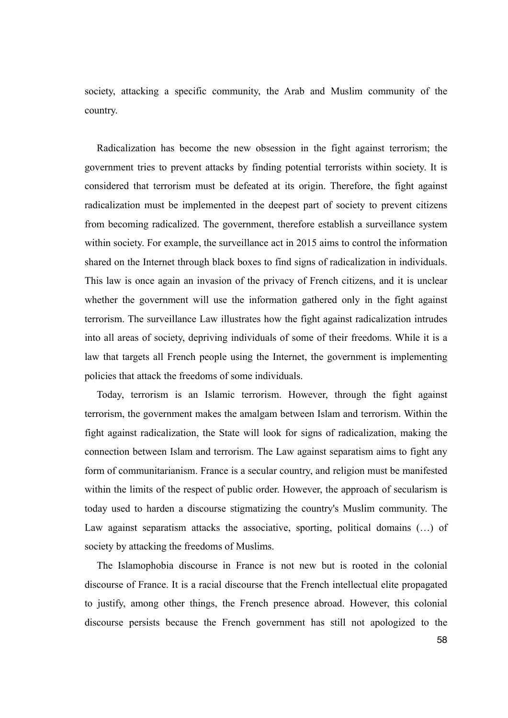society, attacking a specific community, the Arab and Muslim community of the country.

Radicalization has become the new obsession in the fight against terrorism; the government tries to prevent attacks by finding potential terrorists within society. It is considered that terrorism must be defeated at its origin. Therefore, the fight against radicalization must be implemented in the deepest part of society to prevent citizens from becoming radicalized. The government, therefore establish a surveillance system within society. For example, the surveillance act in 2015 aims to control the information shared on the Internet through black boxes to find signs of radicalization in individuals. This law is once again an invasion of the privacy of French citizens, and it is unclear whether the government will use the information gathered only in the fight against terrorism. The surveillance Law illustrates how the fight against radicalization intrudes into all areas of society, depriving individuals of some of their freedoms. While it is a law that targets all French people using the Internet, the government is implementing policies that attack the freedoms of some individuals.

Today, terrorism is an Islamic terrorism. However, through the fight against terrorism, the government makes the amalgam between Islam and terrorism. Within the fight against radicalization, the State will look for signs of radicalization, making the connection between Islam and terrorism. The Law against separatism aims to fight any form of communitarianism. France is a secular country, and religion must be manifested within the limits of the respect of public order. However, the approach of secularism is today used to harden a discourse stigmatizing the country's Muslim community. The Law against separatism attacks the associative, sporting, political domains (...) of society by attacking the freedoms of Muslims.

The Islamophobia discourse in France is not new but is rooted in the colonial discourse of France. It is a racial discourse that the French intellectual elite propagated to justify, among other things, the French presence abroad. However, this colonial discourse persists because the French government has still not apologized to the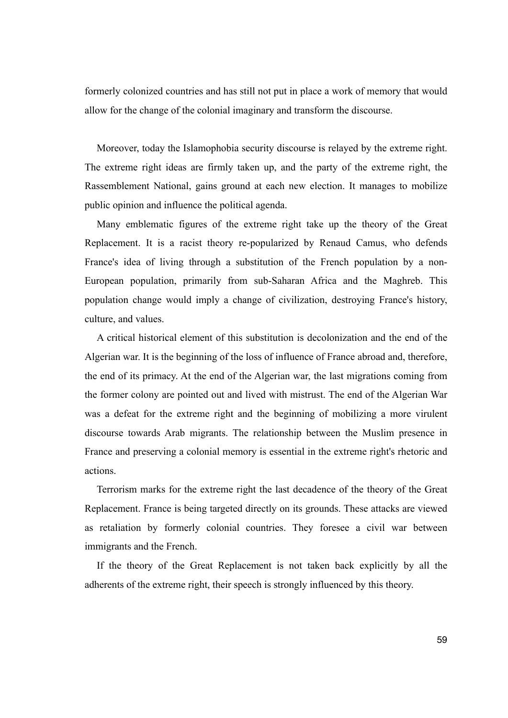formerly colonized countries and has still not put in place a work of memory that would allow for the change of the colonial imaginary and transform the discourse.

Moreover, today the Islamophobia security discourse is relayed by the extreme right. The extreme right ideas are firmly taken up, and the party of the extreme right, the Rassemblement National, gains ground at each new election. It manages to mobilize public opinion and influence the political agenda.

Many emblematic figures of the extreme right take up the theory of the Great Replacement. It is a racist theory re-popularized by Renaud Camus, who defends France's idea of living through a substitution of the French population by a non-European population, primarily from sub-Saharan Africa and the Maghreb. This population change would imply a change of civilization, destroying France's history, culture, and values.

A critical historical element of this substitution is decolonization and the end of the Algerian war. It is the beginning of the loss of influence of France abroad and, therefore, the end of its primacy. At the end of the Algerian war, the last migrations coming from the former colony are pointed out and lived with mistrust. The end of the Algerian War was a defeat for the extreme right and the beginning of mobilizing a more virulent discourse towards Arab migrants. The relationship between the Muslim presence in France and preserving a colonial memory is essential in the extreme right's rhetoric and actions.

Terrorism marks for the extreme right the last decadence of the theory of the Great Replacement. France is being targeted directly on its grounds. These attacks are viewed as retaliation by formerly colonial countries. They foresee a civil war between immigrants and the French.

If the theory of the Great Replacement is not taken back explicitly by all the adherents of the extreme right, their speech is strongly influenced by this theory.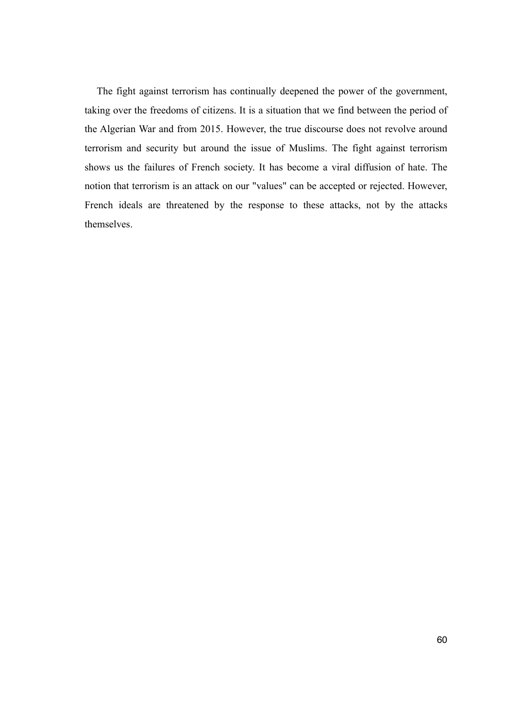The fight against terrorism has continually deepened the power of the government, taking over the freedoms of citizens. It is a situation that we find between the period of the Algerian War and from 2015. However, the true discourse does not revolve around terrorism and security but around the issue of Muslims. The fight against terrorism shows us the failures of French society. It has become a viral diffusion of hate. The notion that terrorism is an attack on our "values" can be accepted or rejected. However, French ideals are threatened by the response to these attacks, not by the attacks themselves.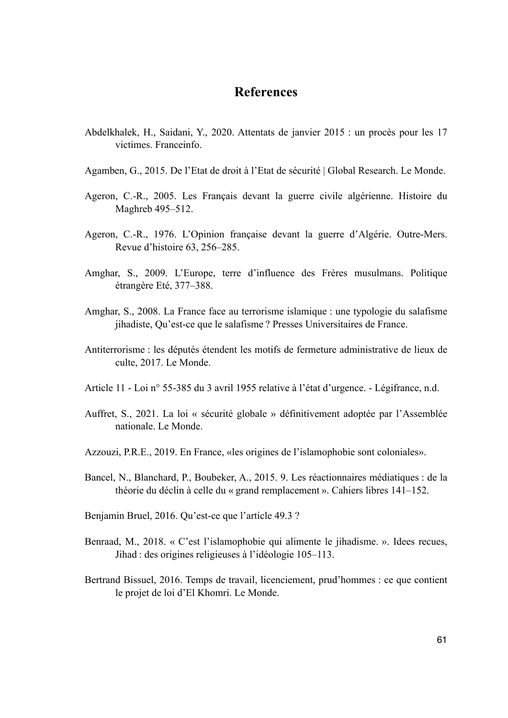## **References**

- Abdelkhalek, H., Saidani, Y., 2020. Attentats de janvier 2015 : un procès pour les 17 victimes. Franceinfo.
- Agamben, G., 2015. De l'Etat de droit à l'Etat de sécurité | Global Research. Le Monde.
- Ageron, C.-R., 2005. Les Français devant la guerre civile algérienne. Histoire du Maghreb 495–512.
- Ageron, C.-R., 1976. L'Opinion française devant la guerre d'Algérie. Outre-Mers. Revue d'histoire 63, 256–285.
- Amghar, S., 2009. L'Europe, terre d'influence des Frères musulmans. Politique étrangère Eté, 377–388.
- Amghar, S., 2008. La France face au terrorisme islamique : une typologie du salafisme jihadiste, Qu'est-ce que le salafisme ? Presses Universitaires de France.
- Antiterrorisme : les députés étendent les motifs de fermeture administrative de lieux de culte, 2017. Le Monde.
- Article 11 Loi n° 55-385 du 3 avril 1955 relative à l'état d'urgence. Légifrance, n.d.
- Auffret, S., 2021. La loi « sécurité globale » définitivement adoptée par l'Assemblée nationale. Le Monde.
- Azzouzi, P.R.E., 2019. En France, «les origines de l'islamophobie sont coloniales».
- Bancel, N., Blanchard, P., Boubeker, A., 2015. 9. Les réactionnaires médiatiques : de la théorie du déclin à celle du « grand remplacement ». Cahiers libres 141–152.
- Benjamin Bruel, 2016. Qu'est-ce que l'article 49.3 ?
- Benraad, M., 2018. « C'est l'islamophobie qui alimente le jihadisme. ». Idees recues, Jihad : des origines religieuses à l'idéologie 105–113.
- Bertrand Bissuel, 2016. Temps de travail, licenciement, prud'hommes : ce que contient le projet de loi d'El Khomri. Le Monde.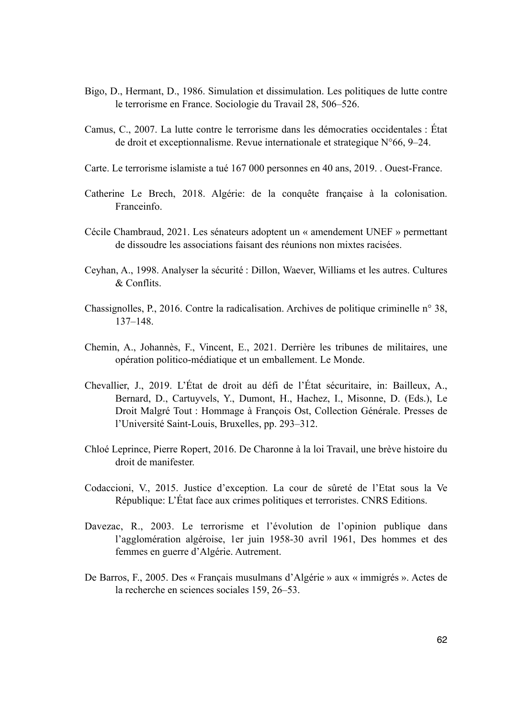- Bigo, D., Hermant, D., 1986. Simulation et dissimulation. Les politiques de lutte contre le terrorisme en France. Sociologie du Travail 28, 506–526.
- Camus, C., 2007. La lutte contre le terrorisme dans les démocraties occidentales : État de droit et exceptionnalisme. Revue internationale et strategique N°66, 9–24.
- Carte. Le terrorisme islamiste a tué 167 000 personnes en 40 ans, 2019. . Ouest-France.
- Catherine Le Brech, 2018. Algérie: de la conquête française à la colonisation. Franceinfo.
- Cécile Chambraud, 2021. Les sénateurs adoptent un « amendement UNEF » permettant de dissoudre les associations faisant des réunions non mixtes racisées.
- Ceyhan, A., 1998. Analyser la sécurité : Dillon, Waever, Williams et les autres. Cultures & Conflits.
- Chassignolles, P., 2016. Contre la radicalisation. Archives de politique criminelle n° 38, 137–148.
- Chemin, A., Johannès, F., Vincent, E., 2021. Derrière les tribunes de militaires, une opération politico-médiatique et un emballement. Le Monde.
- Chevallier, J., 2019. L'État de droit au défi de l'État sécuritaire, in: Bailleux, A., Bernard, D., Cartuyvels, Y., Dumont, H., Hachez, I., Misonne, D. (Eds.), Le Droit Malgré Tout : Hommage à François Ost, Collection Générale. Presses de l'Université Saint-Louis, Bruxelles, pp. 293–312.
- Chloé Leprince, Pierre Ropert, 2016. De Charonne à la loi Travail, une brève histoire du droit de manifester.
- Codaccioni, V., 2015. Justice d'exception. La cour de sûreté de l'Etat sous la Ve République: L'État face aux crimes politiques et terroristes. CNRS Editions.
- Davezac, R., 2003. Le terrorisme et l'évolution de l'opinion publique dans l'agglomération algéroise, 1er juin 1958-30 avril 1961, Des hommes et des femmes en guerre d'Algérie. Autrement.
- De Barros, F., 2005. Des « Français musulmans d'Algérie » aux « immigrés ». Actes de la recherche en sciences sociales 159, 26–53.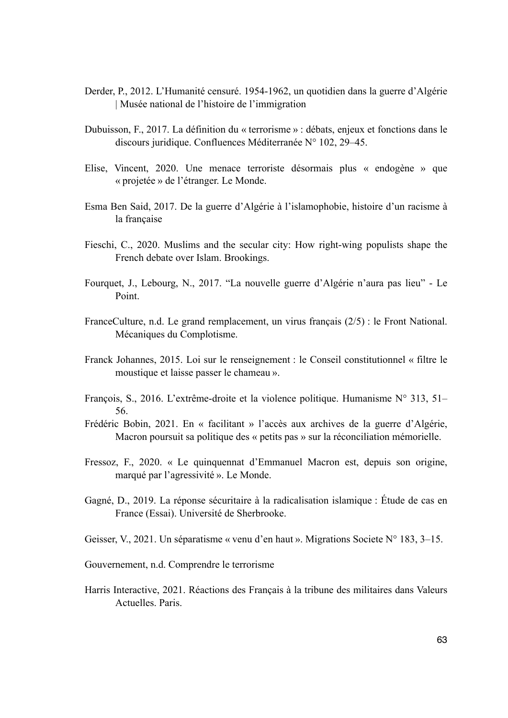- Derder, P., 2012. L'Humanité censuré. 1954-1962, un quotidien dans la guerre d'Algérie | Musée national de l'histoire de l'immigration
- Dubuisson, F., 2017. La définition du « terrorisme » : débats, enjeux et fonctions dans le discours juridique. Confluences Méditerranée N° 102, 29–45.
- Elise, Vincent, 2020. Une menace terroriste désormais plus « endogène » que « projetée » de l'étranger. Le Monde.
- Esma Ben Said, 2017. De la guerre d'Algérie à l'islamophobie, histoire d'un racisme à la française
- Fieschi, C., 2020. Muslims and the secular city: How right-wing populists shape the French debate over Islam. Brookings.
- Fourquet, J., Lebourg, N., 2017. "La nouvelle guerre d'Algérie n'aura pas lieu" Le Point.
- FranceCulture, n.d. Le grand remplacement, un virus français (2/5) : le Front National. Mécaniques du Complotisme.
- Franck Johannes, 2015. Loi sur le renseignement : le Conseil constitutionnel « filtre le moustique et laisse passer le chameau ».
- François, S., 2016. L'extrême-droite et la violence politique. Humanisme N° 313, 51– 56.
- Frédéric Bobin, 2021. En « facilitant » l'accès aux archives de la guerre d'Algérie, Macron poursuit sa politique des « petits pas » sur la réconciliation mémorielle.
- Fressoz, F., 2020. « Le quinquennat d'Emmanuel Macron est, depuis son origine, marqué par l'agressivité ». Le Monde.
- Gagné, D., 2019. La réponse sécuritaire à la radicalisation islamique : Étude de cas en France (Essai). Université de Sherbrooke.
- Geisser, V., 2021. Un séparatisme « venu d'en haut ». Migrations Societe N° 183, 3–15.

Gouvernement, n.d. Comprendre le terrorisme

Harris Interactive, 2021. Réactions des Français à la tribune des militaires dans Valeurs Actuelles. Paris.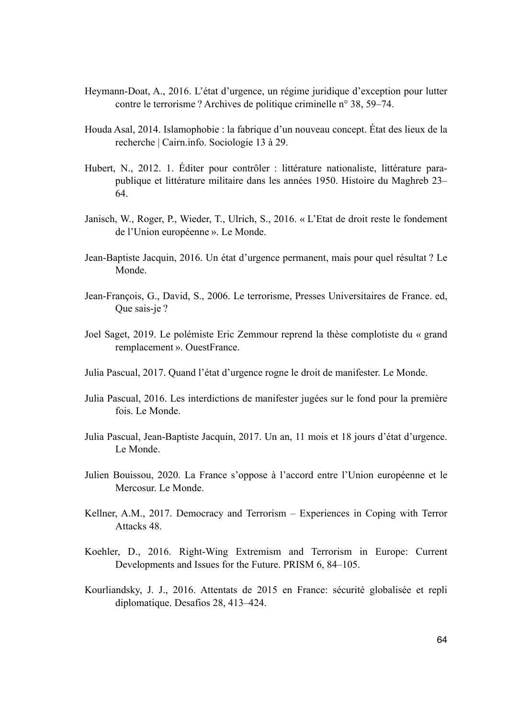- Heymann-Doat, A., 2016. L'état d'urgence, un régime juridique d'exception pour lutter contre le terrorisme ? Archives de politique criminelle n° 38, 59–74.
- Houda Asal, 2014. Islamophobie : la fabrique d'un nouveau concept. État des lieux de la recherche | Cairn.info. Sociologie 13 à 29.
- Hubert, N., 2012. 1. Éditer pour contrôler : littérature nationaliste, littérature parapublique et littérature militaire dans les années 1950. Histoire du Maghreb 23– 64.
- Janisch, W., Roger, P., Wieder, T., Ulrich, S., 2016. « L'Etat de droit reste le fondement de l'Union européenne ». Le Monde.
- Jean-Baptiste Jacquin, 2016. Un état d'urgence permanent, mais pour quel résultat ? Le Monde.
- Jean-François, G., David, S., 2006. Le terrorisme, Presses Universitaires de France. ed, Que sais-je ?
- Joel Saget, 2019. Le polémiste Eric Zemmour reprend la thèse complotiste du « grand remplacement ». OuestFrance.
- Julia Pascual, 2017. Quand l'état d'urgence rogne le droit de manifester. Le Monde.
- Julia Pascual, 2016. Les interdictions de manifester jugées sur le fond pour la première fois. Le Monde.
- Julia Pascual, Jean-Baptiste Jacquin, 2017. Un an, 11 mois et 18 jours d'état d'urgence. Le Monde.
- Julien Bouissou, 2020. La France s'oppose à l'accord entre l'Union européenne et le Mercosur. Le Monde.
- Kellner, A.M., 2017. Democracy and Terrorism Experiences in Coping with Terror Attacks 48.
- Koehler, D., 2016. Right-Wing Extremism and Terrorism in Europe: Current Developments and Issues for the Future. PRISM 6, 84–105.
- Kourliandsky, J. J., 2016. Attentats de 2015 en France: sécurité globalisée et repli diplomatique. Desafios 28, 413–424.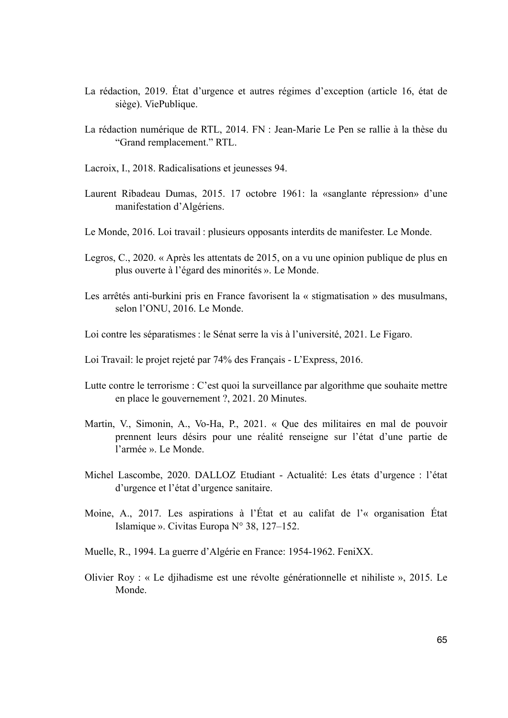- La rédaction, 2019. État d'urgence et autres régimes d'exception (article 16, état de siège). ViePublique.
- La rédaction numérique de RTL, 2014. FN : Jean-Marie Le Pen se rallie à la thèse du "Grand remplacement." RTL.
- Lacroix, I., 2018. Radicalisations et jeunesses 94.
- Laurent Ribadeau Dumas, 2015. 17 octobre 1961: la «sanglante répression» d'une manifestation d'Algériens.
- Le Monde, 2016. Loi travail : plusieurs opposants interdits de manifester. Le Monde.
- Legros, C., 2020. « Après les attentats de 2015, on a vu une opinion publique de plus en plus ouverte à l'égard des minorités ». Le Monde.
- Les arrêtés anti-burkini pris en France favorisent la « stigmatisation » des musulmans, selon l'ONU, 2016. Le Monde.
- Loi contre les séparatismes : le Sénat serre la vis à l'université, 2021. Le Figaro.
- Loi Travail: le projet rejeté par 74% des Français L'Express, 2016.
- Lutte contre le terrorisme : C'est quoi la surveillance par algorithme que souhaite mettre en place le gouvernement ?, 2021. 20 Minutes.
- Martin, V., Simonin, A., Vo-Ha, P., 2021. « Que des militaires en mal de pouvoir prennent leurs désirs pour une réalité renseigne sur l'état d'une partie de l'armée ». Le Monde.
- Michel Lascombe, 2020. DALLOZ Etudiant Actualité: Les états d'urgence : l'état d'urgence et l'état d'urgence sanitaire.
- Moine, A., 2017. Les aspirations à l'État et au califat de l'« organisation État Islamique ». Civitas Europa N° 38, 127–152.
- Muelle, R., 1994. La guerre d'Algérie en France: 1954-1962. FeniXX.
- Olivier Roy : « Le djihadisme est une révolte générationnelle et nihiliste », 2015. Le Monde.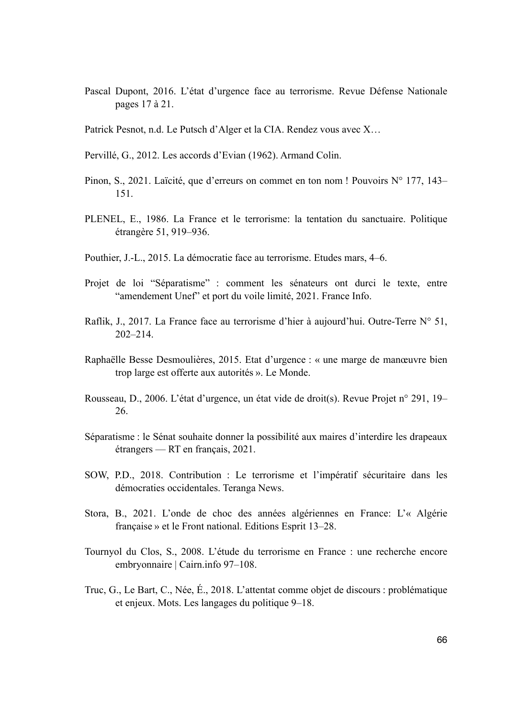- Pascal Dupont, 2016. L'état d'urgence face au terrorisme. Revue Défense Nationale pages 17 à 21.
- Patrick Pesnot, n.d. Le Putsch d'Alger et la CIA. Rendez vous avec X…
- Pervillé, G., 2012. Les accords d'Evian (1962). Armand Colin.
- Pinon, S., 2021. Laïcité, que d'erreurs on commet en ton nom ! Pouvoirs N° 177, 143– 151.
- PLENEL, E., 1986. La France et le terrorisme: la tentation du sanctuaire. Politique étrangère 51, 919–936.
- Pouthier, J.-L., 2015. La démocratie face au terrorisme. Etudes mars, 4–6.
- Projet de loi "Séparatisme" : comment les sénateurs ont durci le texte, entre "amendement Unef" et port du voile limité, 2021. France Info.
- Raflik, J., 2017. La France face au terrorisme d'hier à aujourd'hui. Outre-Terre N° 51, 202–214.
- Raphaëlle Besse Desmoulières, 2015. Etat d'urgence : « une marge de manœuvre bien trop large est offerte aux autorités ». Le Monde.
- Rousseau, D., 2006. L'état d'urgence, un état vide de droit(s). Revue Projet n° 291, 19– 26.
- Séparatisme : le Sénat souhaite donner la possibilité aux maires d'interdire les drapeaux étrangers — RT en français, 2021.
- SOW, P.D., 2018. Contribution : Le terrorisme et l'impératif sécuritaire dans les démocraties occidentales. Teranga News.
- Stora, B., 2021. L'onde de choc des années algériennes en France: L'« Algérie française » et le Front national. Editions Esprit 13–28.
- Tournyol du Clos, S., 2008. L'étude du terrorisme en France : une recherche encore embryonnaire | Cairn.info 97–108.
- Truc, G., Le Bart, C., Née, É., 2018. L'attentat comme objet de discours : problématique et enjeux. Mots. Les langages du politique 9–18.